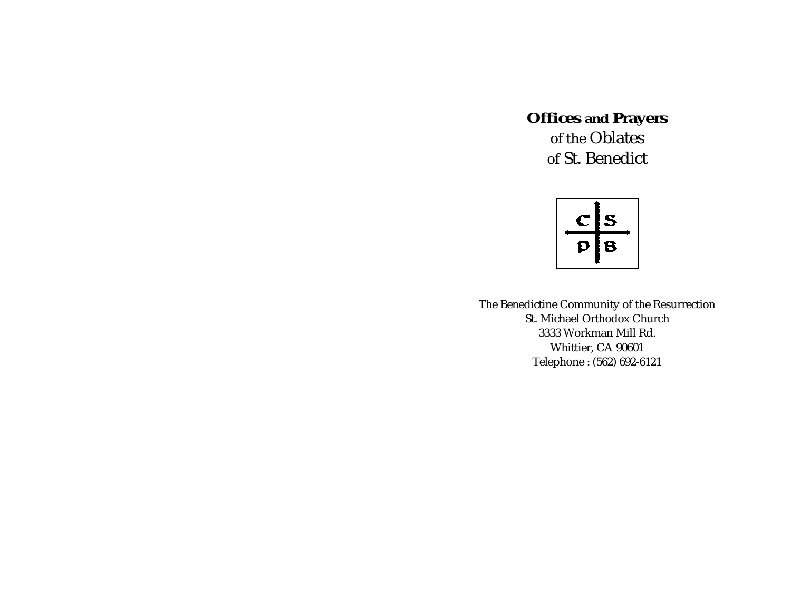**Offices and Prayers** of the Oblatesof St. Benedict

 $rac{\text{c}}{\text{p}}\frac{\text{s}}{\text{B}}$ 

The Benedictine Community of the Resurrection St. Michael Orthodox Church3333 Workman Mill Rd. Whittier, CA 90601 Telephone : (562) 692-6121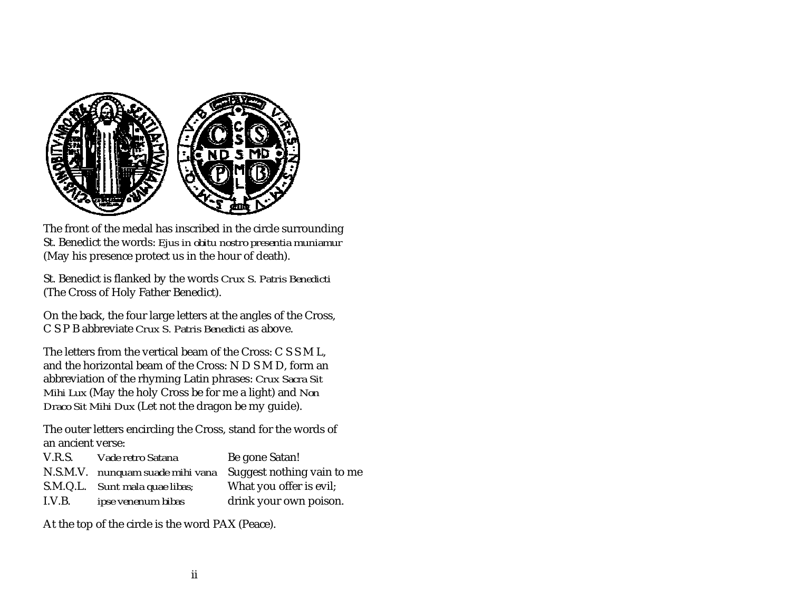<span id="page-1-0"></span>

The front of the medal has inscribed in the circle surrounding St. Benedict the words: *Ejus in obitu nostro presentia muniamur* (May his presence protect us in the hour of death).

St. Benedict is flanked by the words *Crux S. Patris Benedicti* (The Cross of Holy Father Benedict).

On the back, the four large letters at the angles of the Cross, C S P B abbreviate *Crux S. Patris Benedicti* as above.

The letters from the vertical beam of the Cross: C S S M L, and the horizontal beam of the Cross: N D S M D, form an abbreviation of the rhyming Latin phrases: *Crux Sacra Sit Mihi Lux* (May the holy Cross be for me a light) and *Non Draco Sit Mihi Dux* (Let not the dragon be my guide).

The outer letters encircling the Cross, stand for the words of an ancient verse:

| V.R.S. | Vade retro Satana                | Be gone Satan!             |
|--------|----------------------------------|----------------------------|
|        | N.S.M.V. nunquam suade mihi vana | Suggest nothing vain to me |
|        | S.M.Q.L. Sunt mala quae libas;   | What you offer is evil;    |
| I.V.B. | ipse venenum bibas               | drink your own poison.     |

At the top of the circle is the word PAX (Peace).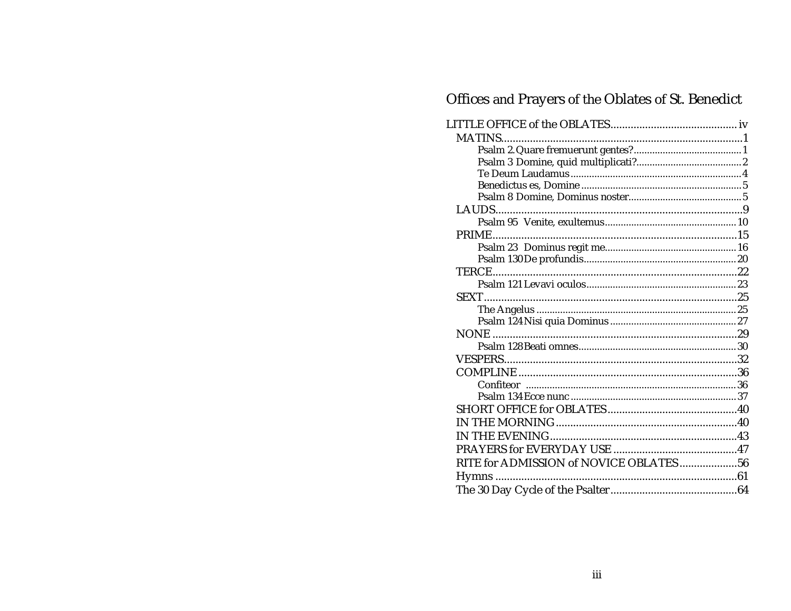# Offices and Prayers of the Oblates of St. Benedict

| RITE for ADMISSION of NOVICE OBLATES 56 |  |
|-----------------------------------------|--|
|                                         |  |
|                                         |  |
|                                         |  |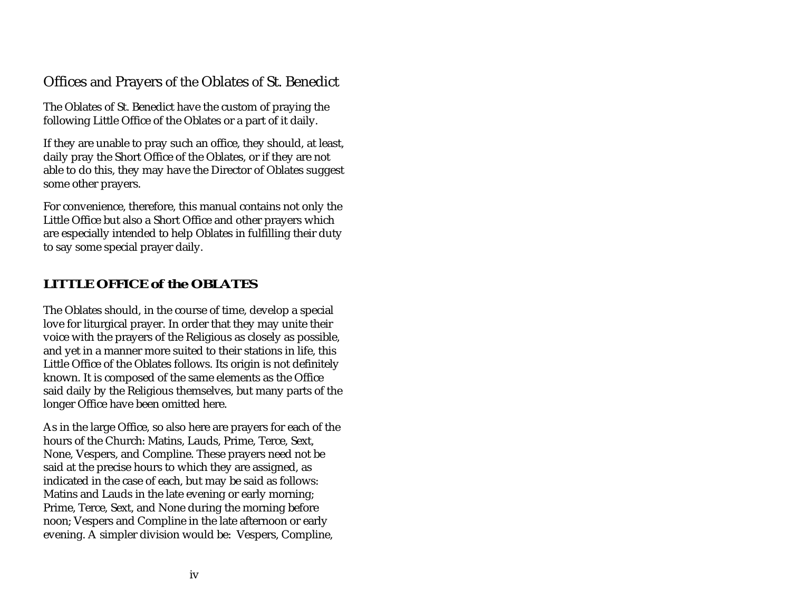# <span id="page-3-0"></span>Offices and Prayers of the Oblates of St. Benedict

The Oblates of St. Benedict have the custom of praying the following Little Office of the Oblates or a part of it daily.

If they are unable to pray such an office, they should, at least, daily pray the Short Office of the Oblates, or if they are not able to do this, they may have the Director of Oblates suggest some other prayers.

For convenience, therefore, this manual contains not only the Little Office but also a Short Office and other prayers which are especially intended to help Oblates in fulfilling their duty to say some special prayer daily.

# **LITTLE OFFICE of the OBLATES**

The Oblates should, in the course of time, develop a special love for liturgical prayer. In order that they may unite their voice with the prayers of the Religious as closely as possible, and yet in a manner more suited to their stations in life, this Little Office of the Oblates follows. Its origin is not definitely known. It is composed of the same elements as the Office said daily by the Religious themselves, but many parts of the longer Office have been omitted here.

As in the large Office, so also here are prayers for each of the hours of the Church: Matins, Lauds, Prime, Terce, Sext, None, Vespers, and Compline. These prayers need not be said at the precise hours to which they are assigned, as indicated in the case of each, but may be said as follows: Matins and Lauds in the late evening or early morning; Prime, Terce, Sext, and None during the morning before noon; Vespers and Compline in the late afternoon or early evening. A simpler division would be: Vespers, Compline,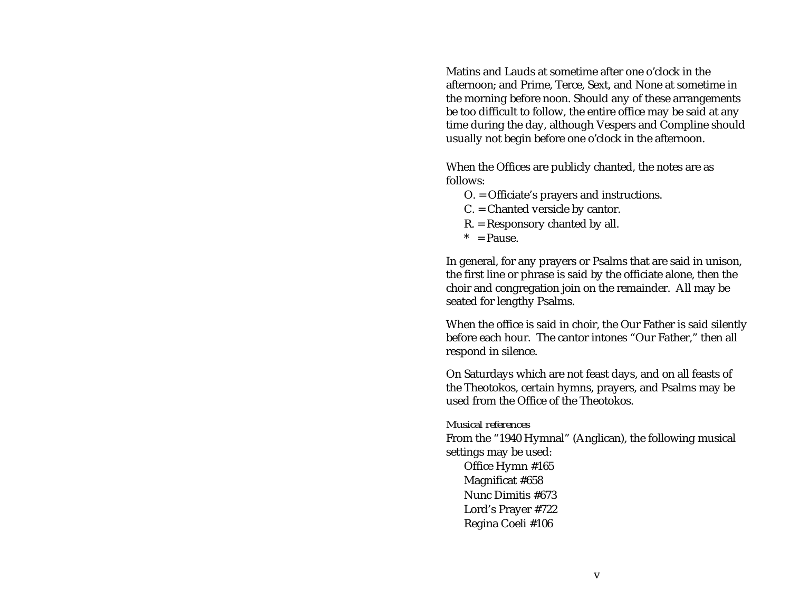Matins and Lauds at sometime after one o'clock in theafternoon; and Prime, Terce, Sext, and None at sometime in the morning before noon. Should any of these arrangements be too difficult to follow, the entire office may be said at any time during the day, although Vespers and Compline should usually not begin before one o'clock in the afternoon.

When the Offices are publicly chanted, the notes are as follows:

- O. = Officiate's prayers and instructions.
- C. = Chanted versicle by cantor.
- R. = Responsory chanted by all.
- $*$  = Pause.

In general, for any prayers or Psalms that are said in unison, the first line or phrase is said by the officiate alone, then the choir and congregation join on the remainder. All may be seated for lengthy Psalms.

When the office is said in choir, the Our Father is said silently before each hour. The cantor intones "Our Father," then all respond in silence.

On Saturdays which are not feast days, and on all feasts of the Theotokos, certain hymns, prayers, and Psalms may be used from the Office of the Theotokos.

#### *Musical references*

From the "1940 Hymnal" (Anglican), the following musical settings may be used:

Office Hymn #165 Magnificat #658 Nunc Dimitis #673Lord's Prayer #722 Regina Coeli #106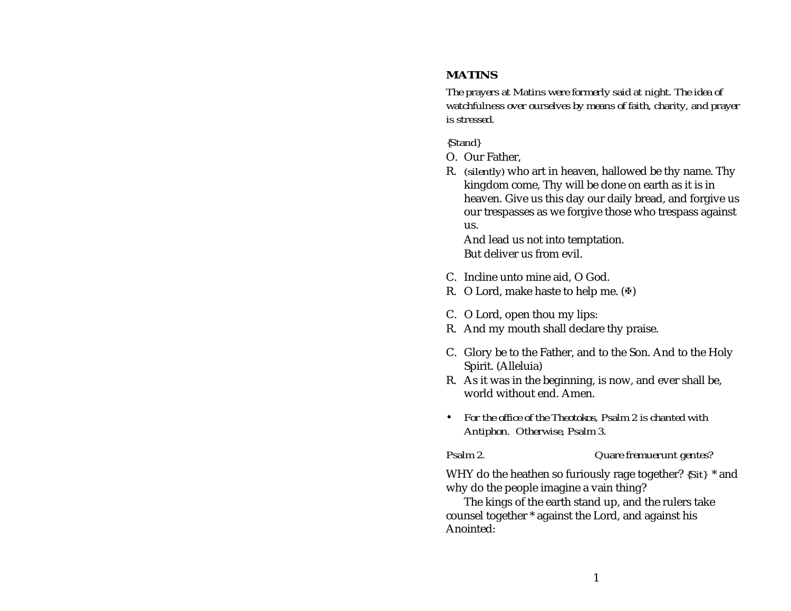# <span id="page-5-0"></span>**MATINS**

*The prayers at Matins were formerly said at night. The idea of watchfulness over ourselves by means of faith, charity, and prayer is stressed.*

#### *{Stand}*

- O. Our Father,
- R. *(silently)* who art in heaven, hallowed be thy name. Thy kingdom come, Thy will be done on earth as it is in heaven. Give us this day our daily bread, and forgive us our trespasses as we forgive those who trespass against us.

And lead us not into temptation. But deliver us from evil.

- C. Incline unto mine aid, O God.
- R. O Lord, make haste to help me.  $(\Phi)$
- C. O Lord, open thou my lips:
- R. And my mouth shall declare thy praise.
- C. Glory be to the Father, and to the Son. And to the Holy Spirit. (Alleluia)
- R. As it was in the beginning, is now, and ever shall be, world without end. Amen.
- *For the office of the Theotokos, Psalm 2 is chanted with Antiphon. Otherwise, Psalm 3.*

#### *Psalm 2. Quare fremuerunt gentes?*

WHY do the heathen so furiously rage together? *{Sit}* \* and why do the people imagine a vain thing?

The kings of the earth stand up, and the rulers take counsel together \* against the Lord, and against his Anointed: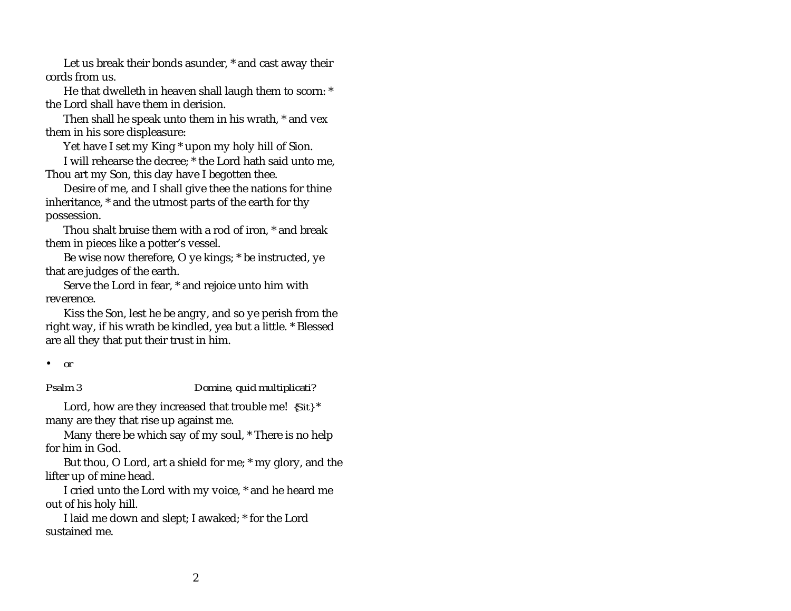<span id="page-6-0"></span>Let us break their bonds asunder, \* and cast away their cords from us.

He that dwelleth in heaven shall laugh them to scorn: \* the Lord shall have them in derision.

Then shall he speak unto them in his wrath, \* and vex them in his sore displeasure:

Yet have I set my King \* upon my holy hill of Sion.

I will rehearse the decree; \* the Lord hath said unto me, Thou art my Son, this day have I begotten thee.

Desire of me, and I shall give thee the nations for thine inheritance, \* and the utmost parts of the earth for thy possession.

Thou shalt bruise them with a rod of iron, \* and break them in pieces like a potter's vessel.

Be wise now therefore, O ye kings; \* be instructed, ye that are judges of the earth.

Serve the Lord in fear, \* and rejoice unto him with reverence.

Kiss the Son, lest he be angry, and so ye perish from the right way, if his wrath be kindled, yea but a little. \* Blessed are all they that put their trust in him.

#### *Psalm 3 Domine, quid multiplicati?*

Lord, how are they increased that trouble me! *{Sit}* \* many are they that rise up against me.

Many there be which say of my soul, \* There is no help for him in God.

But thou, O Lord, art a shield for me; \* my glory, and the lifter up of mine head.

I cried unto the Lord with my voice, \* and he heard me out of his holy hill.

I laid me down and slept; I awaked; \* for the Lord sustained me.

<sup>•</sup>*or*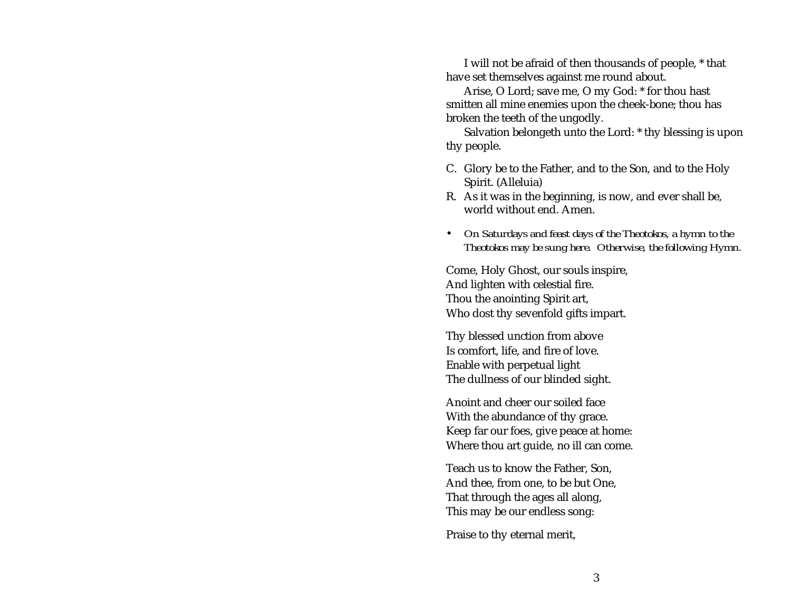I will not be afraid of then thousands of people, \* that have set themselves against me round about.

Arise, O Lord; save me, O my God: \* for thou hast smitten all mine enemies upon the cheek-bone; thou has broken the teeth of the ungodly.

Salvation belongeth unto the Lord: \* thy blessing is upon thy people.

- C. Glory be to the Father, and to the Son, and to the Holy Spirit. (Alleluia)
- R. As it was in the beginning, is now, and ever shall be, world without end. Amen.
- *On Saturdays and feast days of the Theotokos, a hymn to the Theotokos may be sung here. Otherwise, the following Hymn.*

Come, Holy Ghost, our souls inspire, And lighten with celestial fire. Thou the anointing Spirit art, Who dost thy sevenfold gifts impart.

Thy blessed unction from above Is comfort, life, and fire of love. Enable with perpetual light The dullness of our blinded sight.

Anoint and cheer our soiled faceWith the abundance of thy grace. Keep far our foes, give peace at home: Where thou art guide, no ill can come.

Teach us to know the Father, Son, And thee, from one, to be but One, That through the ages all along, This may be our endless song:

Praise to thy eternal merit,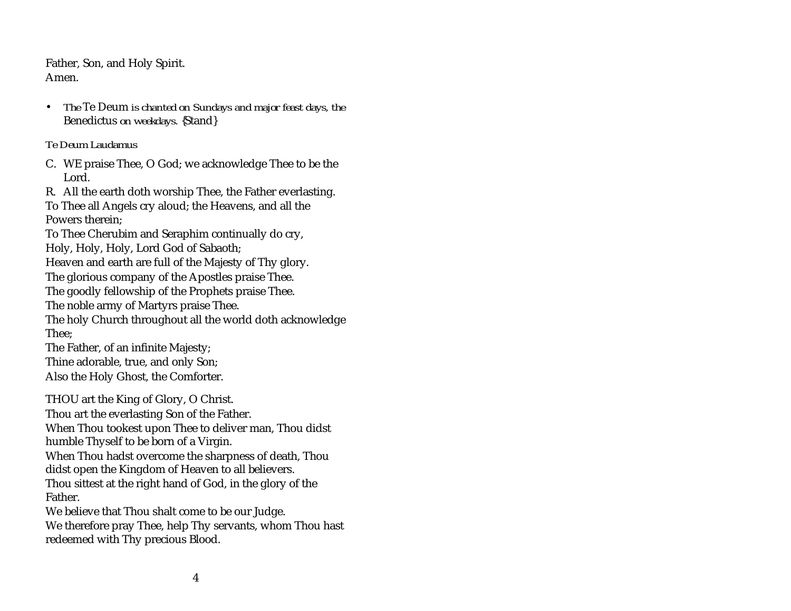<span id="page-8-0"></span>Father, Son, and Holy Spirit. Amen.

 $\bullet$  *The* Te Deum *is chanted on Sundays and major feast days, the* Benedictus *on weekdays.* {Stand}

#### *Te Deum Laudamus*

- C. WE praise Thee, O God; we acknowledge Thee to be the Lord.
- R. All the earth doth worship Thee, the Father everlasting.

To Thee all Angels cry aloud; the Heavens, and all the Powers therein;

To Thee Cherubim and Seraphim continually do cry,

Holy, Holy, Holy, Lord God of Sabaoth;

Heaven and earth are full of the Majesty of Thy glory.

The glorious company of the Apostles praise Thee.

The goodly fellowship of the Prophets praise Thee.

The noble army of Martyrs praise Thee.

The holy Church throughout all the world doth acknowledge Thee;

The Father, of an infinite Majesty;

Thine adorable, true, and only Son;

Also the Holy Ghost, the Comforter.

THOU art the King of Glory, O Christ. Thou art the everlasting Son of the Father. When Thou tookest upon Thee to deliver man, Thou didst humble Thyself to be born of a Virgin. When Thou hadst overcome the sharpness of death, Thou didst open the Kingdom of Heaven to all believers. Thou sittest at the right hand of God, in the glory of the

Father.

We believe that Thou shalt come to be our Judge. We therefore pray Thee, help Thy servants, whom Thou hast redeemed with Thy precious Blood.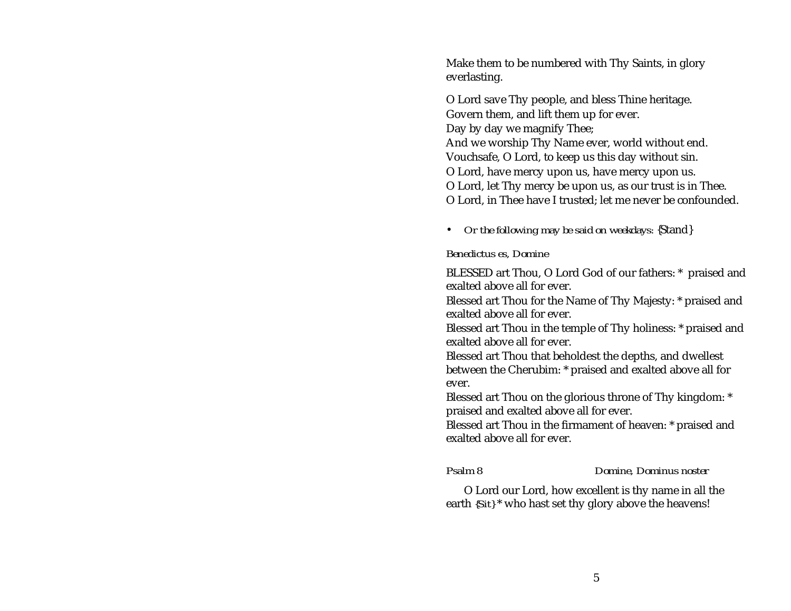<span id="page-9-0"></span>Make them to be numbered with Thy Saints, in glory everlasting.

O Lord save Thy people, and bless Thine heritage. Govern them, and lift them up for ever. Day by day we magnify Thee; And we worship Thy Name ever, world without end. Vouchsafe, O Lord, to keep us this day without sin. O Lord, have mercy upon us, have mercy upon us. O Lord, let Thy mercy be upon us, as our trust is in Thee. O Lord, in Thee have I trusted; let me never be confounded.

• *Or the following may be said on weekdays:* {Stand}

#### *Benedictus es, Domine*

BLESSED art Thou, O Lord God of our fathers: \* praised and exalted above all for ever.

Blessed art Thou for the Name of Thy Majesty: \* praised and exalted above all for ever.

Blessed art Thou in the temple of Thy holiness: \* praised and exalted above all for ever.

Blessed art Thou that beholdest the depths, and dwellest between the Cherubim: \* praised and exalted above all for ever.

Blessed art Thou on the glorious throne of Thy kingdom: \* praised and exalted above all for ever.

Blessed art Thou in the firmament of heaven: \* praised and exalted above all for ever.

*Psalm 8 Domine, Dominus noster*

O Lord our Lord, how excellent is thy name in all the earth *{Sit}* \* who hast set thy glory above the heavens!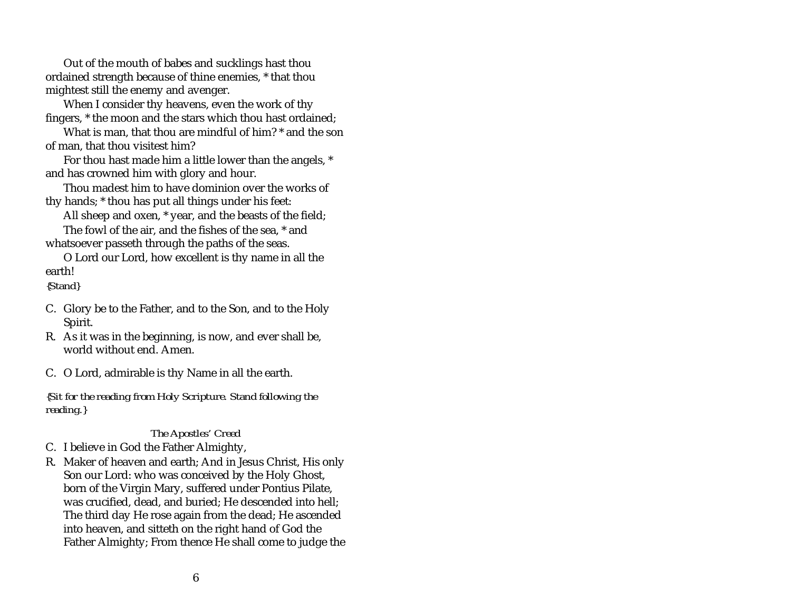Out of the mouth of babes and sucklings hast thou ordained strength because of thine enemies, \* that thou mightest still the enemy and avenger.

When I consider thy heavens, even the work of thy fingers, \* the moon and the stars which thou hast ordained;

What is man, that thou are mindful of him? \* and the son of man, that thou visitest him?

For thou hast made him a little lower than the angels, \* and has crowned him with glory and hour.

Thou madest him to have dominion over the works ofthy hands; \* thou has put all things under his feet:

All sheep and oxen, \* year, and the beasts of the field;

The fowl of the air, and the fishes of the sea, \* and whatsoever passeth through the paths of the seas.

O Lord our Lord, how excellent is thy name in all the earth!

*{Stand}*

- C. Glory be to the Father, and to the Son, and to the Holy Spirit.
- R. As it was in the beginning, is now, and ever shall be, world without end. Amen.

C. O Lord, admirable is thy Name in all the earth.

*{Sit for the reading from Holy Scripture. Stand following the reading.}*

#### *The Apostles' Creed*

C. I believe in God the Father Almighty,

R. Maker of heaven and earth; And in Jesus Christ, His only Son our Lord: who was conceived by the Holy Ghost, born of the Virgin Mary, suffered under Pontius Pilate, was crucified, dead, and buried; He descended into hell; The third day He rose again from the dead; He ascended into heaven, and sitteth on the right hand of God the Father Almighty; From thence He shall come to judge the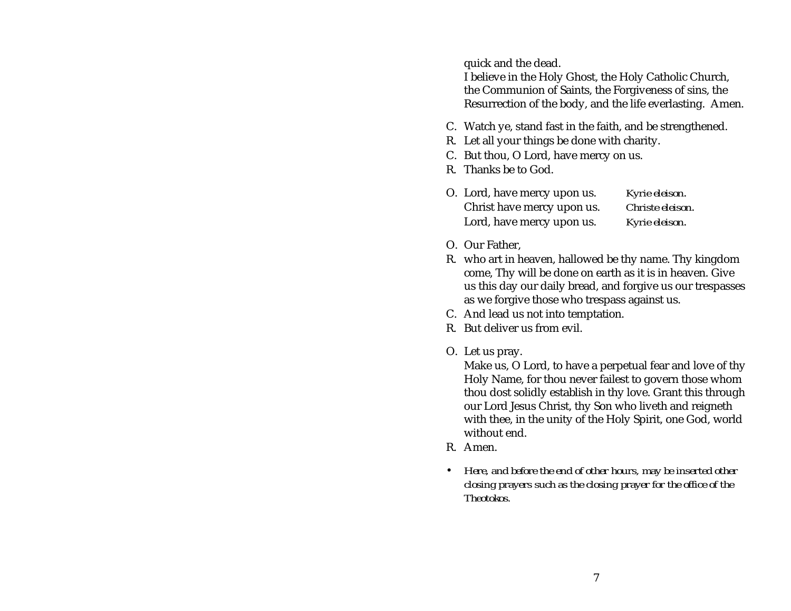quick and the dead.

I believe in the Holy Ghost, the Holy Catholic Church, the Communion of Saints, the Forgiveness of sins, the Resurrection of the body, and the life everlasting. Amen.

- C. Watch ye, stand fast in the faith, and be strengthened.
- R. Let all your things be done with charity.
- C. But thou, O Lord, have mercy on us.
- R. Thanks be to God.
- O. Lord, have mercy upon us. *Kyrie eleison*. Christ have mercy upon us. *Christe eleison*. Lord, have mercy upon us. *Kyrie eleison*.
- O. Our Father,
- R. who art in heaven, hallowed be thy name. Thy kingdom come, Thy will be done on earth as it is in heaven. Give us this day our daily bread, and forgive us our trespasses as we forgive those who trespass against us.
- C. And lead us not into temptation.
- R. But deliver us from evil.
- O. Let us pray.

Make us, O Lord, to have a perpetual fear and love of thy Holy Name, for thou never failest to govern those whom thou dost solidly establish in thy love. Grant this through our Lord Jesus Christ, thy Son who liveth and reigneth with thee, in the unity of the Holy Spirit, one God, world without end.

- R. Amen.
- *Here, and before the end of other hours, may be inserted other closing prayers such as the closing prayer for the office of the Theotokos.*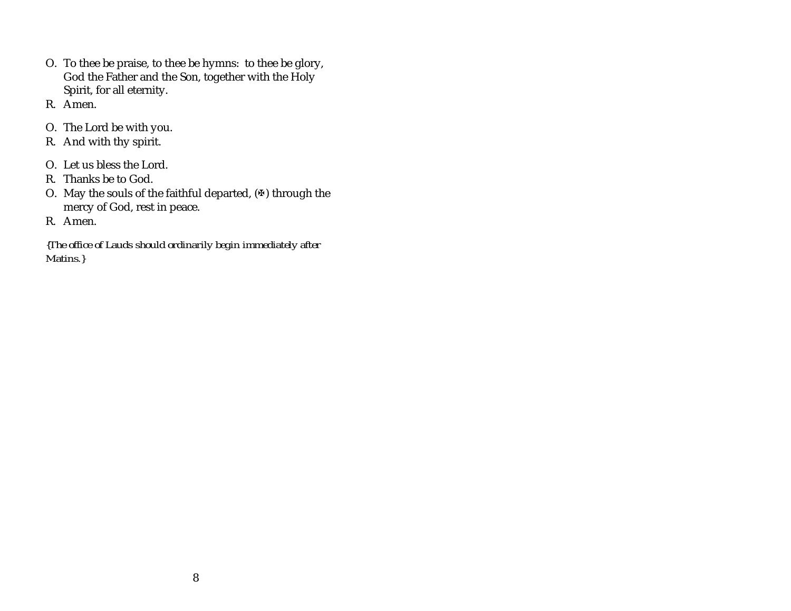- O. To thee be praise, to thee be hymns: to thee be glory, God the Father and the Son, together with the Holy Spirit, for all eternity.
- R. Amen.
- O. The Lord be with you.
- R. And with thy spirit.
- O. Let us bless the Lord.
- R. Thanks be to God.
- O. May the souls of the faithful departed,  $(\Phi)$  through the mercy of God, rest in peace.
- R. Amen.

*{The office of Lauds should ordinarily begin immediately after Matins.}*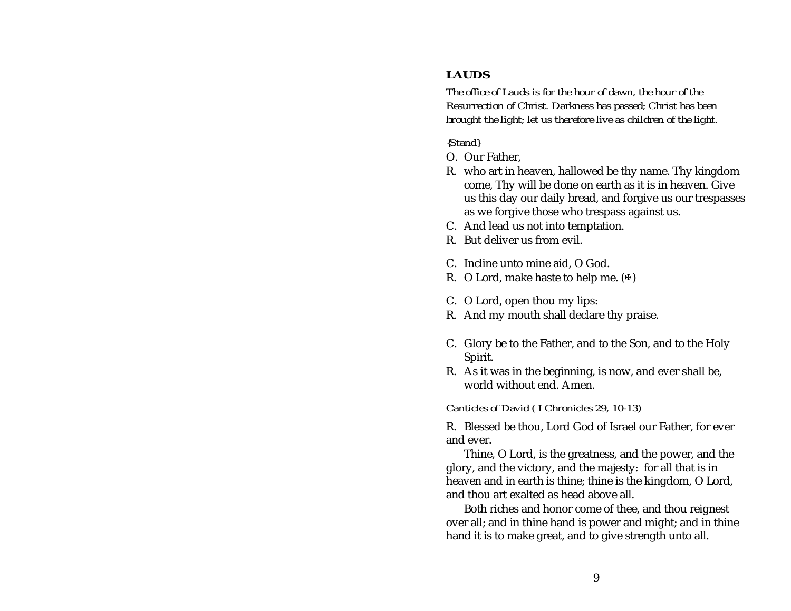# <span id="page-13-0"></span>**LAUDS**

*The office of Lauds is for the hour of dawn, the hour of the Resurrection of Christ. Darkness has passed; Christ has been brought the light; let us therefore live as children of the light.*

*{Stand}*

- O. Our Father,
- R. who art in heaven, hallowed be thy name. Thy kingdom come, Thy will be done on earth as it is in heaven. Give us this day our daily bread, and forgive us our trespasses as we forgive those who trespass against us.
- C. And lead us not into temptation.
- R. But deliver us from evil.
- C. Incline unto mine aid, O God.
- R. O Lord, make haste to help me.  $(\Phi)$
- C. O Lord, open thou my lips:
- R. And my mouth shall declare thy praise.
- C. Glory be to the Father, and to the Son, and to the Holy Spirit.
- R. As it was in the beginning, is now, and ever shall be, world without end. Amen.

*Canticles of David ( I Chronicles 29, 10-13)*

R. Blessed be thou, Lord God of Israel our Father, for ever and ever.

Thine, O Lord, is the greatness, and the power, and the glory, and the victory, and the majesty: for all that is in heaven and in earth is thine; thine is the kingdom, O Lord, and thou art exalted as head above all.

Both riches and honor come of thee, and thou reignest over all; and in thine hand is power and might; and in thine hand it is to make great, and to give strength unto all.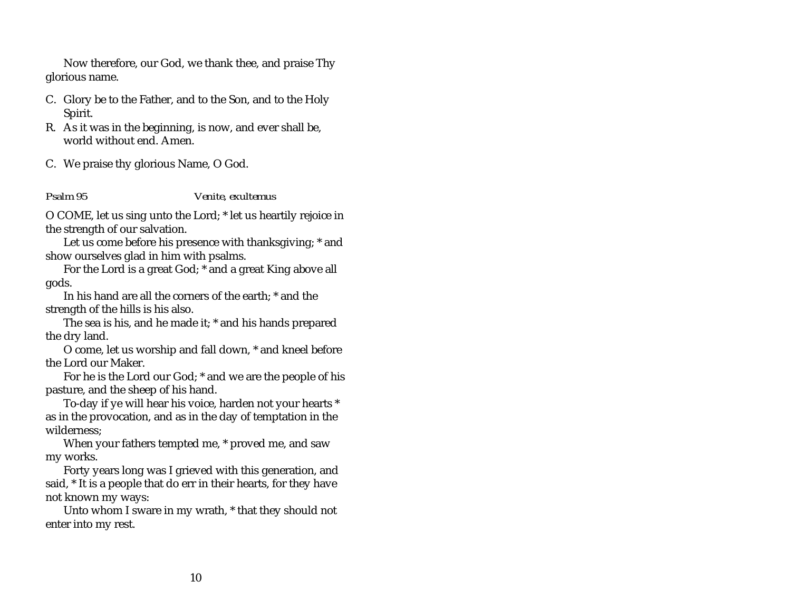<span id="page-14-0"></span>Now therefore, our God, we thank thee, and praise Thy glorious name.

- C. Glory be to the Father, and to the Son, and to the Holy Spirit.
- R. As it was in the beginning, is now, and ever shall be, world without end. Amen.
- C. We praise thy glorious Name, O God.

*Psalm 95 Venite, exultemus*

O COME, let us sing unto the Lord; \* let us heartily rejoice in the strength of our salvation.

Let us come before his presence with thanksgiving; \* and show ourselves glad in him with psalms.

For the Lord is a great God; \* and a great King above all gods.

In his hand are all the corners of the earth; \* and the strength of the hills is his also.

The sea is his, and he made it; \* and his hands prepared the dry land.

O come, let us worship and fall down, \* and kneel before the Lord our Maker.

For he is the Lord our God; \* and we are the people of his pasture, and the sheep of his hand.

To-day if ye will hear his voice, harden not your hearts \* as in the provocation, and as in the day of temptation in the wilderness;

When your fathers tempted me, \* proved me, and saw my works.

Forty years long was I grieved with this generation, and said, \* It is a people that do err in their hearts, for they have not known my ways:

Unto whom I sware in my wrath, \* that they should not enter into my rest.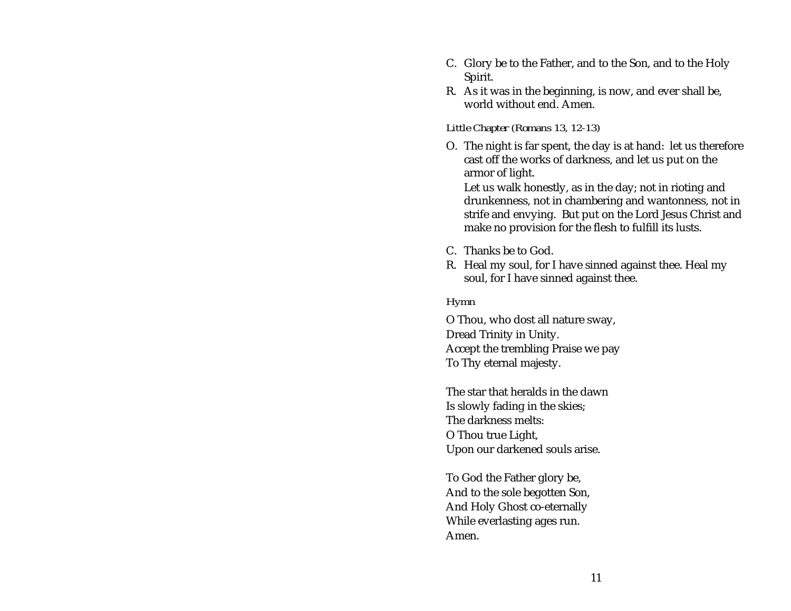- C. Glory be to the Father, and to the Son, and to the Holy Spirit.
- R. As it was in the beginning, is now, and ever shall be, world without end. Amen.

#### *Little Chapter (Romans 13, 12-13)*

O. The night is far spent, the day is at hand: let us therefore cast off the works of darkness, and let us put on the armor of light.

Let us walk honestly, as in the day; not in rioting and drunkenness, not in chambering and wantonness, not in strife and envying. But put on the Lord Jesus Christ and make no provision for the flesh to fulfill its lusts.

- C. Thanks be to God.
- R. Heal my soul, for I have sinned against thee. Heal my soul, for I have sinned against thee.

#### *Hymn*

O Thou, who dost all nature sway, Dread Trinity in Unity. Accept the trembling Praise we pay To Thy eternal majesty.

The star that heralds in the dawnIs slowly fading in the skies; The darkness melts:O Thou true Light, Upon our darkened souls arise.

To God the Father glory be, And to the sole begotten Son, And Holy Ghost co-eternally While everlasting ages run. Amen.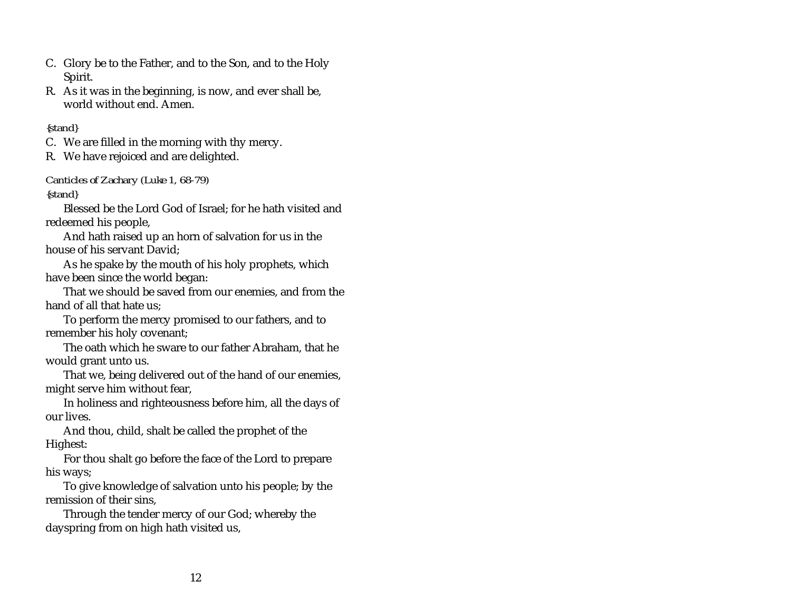- C. Glory be to the Father, and to the Son, and to the Holy Spirit.
- R. As it was in the beginning, is now, and ever shall be, world without end. Amen.

#### *{stand}*

C. We are filled in the morning with thy mercy.

R. We have rejoiced and are delighted.

#### *Canticles of Zachary (Luke 1, 68-79)*

*{stand}*

Blessed be the Lord God of Israel; for he hath visited and redeemed his people,

And hath raised up an horn of salvation for us in the house of his servant David;

As he spake by the mouth of his holy prophets, which have been since the world began:

That we should be saved from our enemies, and from the hand of all that hate us;

To perform the mercy promised to our fathers, and to remember his holy covenant;

The oath which he sware to our father Abraham, that he would grant unto us.

That we, being delivered out of the hand of our enemies, might serve him without fear,

In holiness and righteousness before him, all the days of our lives.

And thou, child, shalt be called the prophet of the Highest:

For thou shalt go before the face of the Lord to prepare his ways;

To give knowledge of salvation unto his people; by the remission of their sins,

Through the tender mercy of our God; whereby the dayspring from on high hath visited us,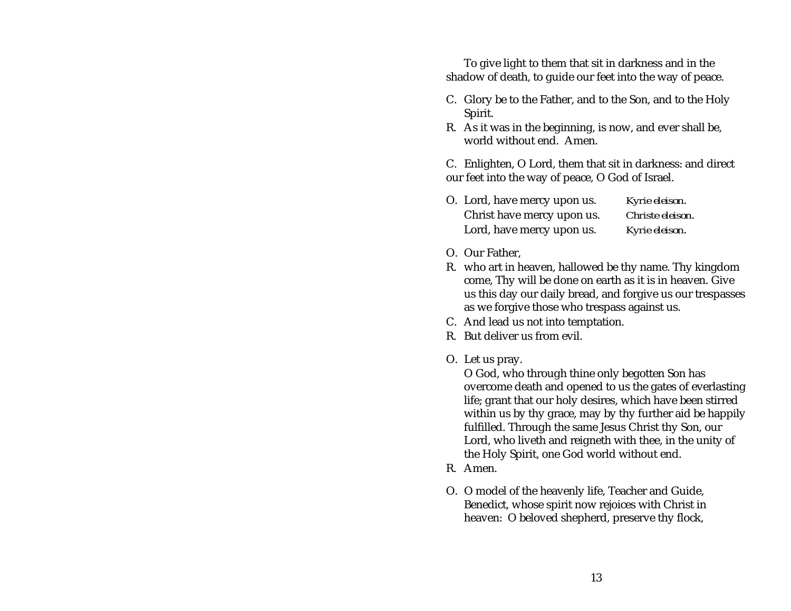To give light to them that sit in darkness and in the shadow of death, to guide our feet into the way of peace.

- C. Glory be to the Father, and to the Son, and to the Holy Spirit.
- R. As it was in the beginning, is now, and ever shall be, world without end. Amen.

C. Enlighten, O Lord, them that sit in darkness: and direct our feet into the way of peace, O God of Israel.

- O. Lord, have mercy upon us. *Kyrie eleison*. Christ have mercy upon us. *Christe eleison*. Lord, have mercy upon us. *Kyrie eleison*.
- O. Our Father,
- R. who art in heaven, hallowed be thy name. Thy kingdom come, Thy will be done on earth as it is in heaven. Give us this day our daily bread, and forgive us our trespasses as we forgive those who trespass against us.
- C. And lead us not into temptation.
- R. But deliver us from evil.
- O. Let us pray.

O God, who through thine only begotten Son has overcome death and opened to us the gates of everlasting life; grant that our holy desires, which have been stirred within us by thy grace, may by thy further aid be happily fulfilled. Through the same Jesus Christ thy Son, our Lord, who liveth and reigneth with thee, in the unity of the Holy Spirit, one God world without end.

- R. Amen.
- O. O model of the heavenly life, Teacher and Guide, Benedict, whose spirit now rejoices with Christ in heaven: O beloved shepherd, preserve thy flock,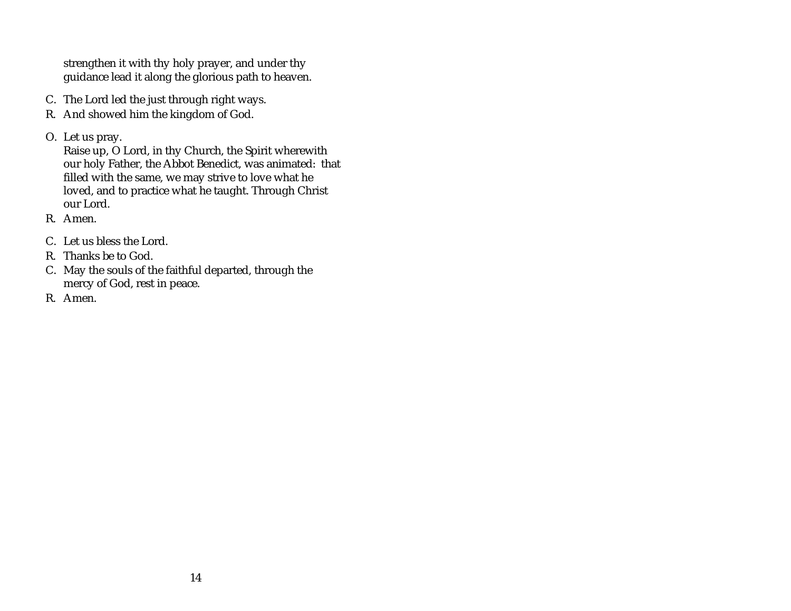strengthen it with thy holy prayer, and under thy guidance lead it along the glorious path to heaven.

- C. The Lord led the just through right ways.
- R. And showed him the kingdom of God.
- O. Let us pray.

Raise up, O Lord, in thy Church, the Spirit wherewith our holy Father, the Abbot Benedict, was animated: that filled with the same, we may strive to love what he loved, and to practice what he taught. Through Christ our Lord.

- R. Amen.
- C. Let us bless the Lord.
- R. Thanks be to God.
- C. May the souls of the faithful departed, through the mercy of God, rest in peace.
- R. Amen.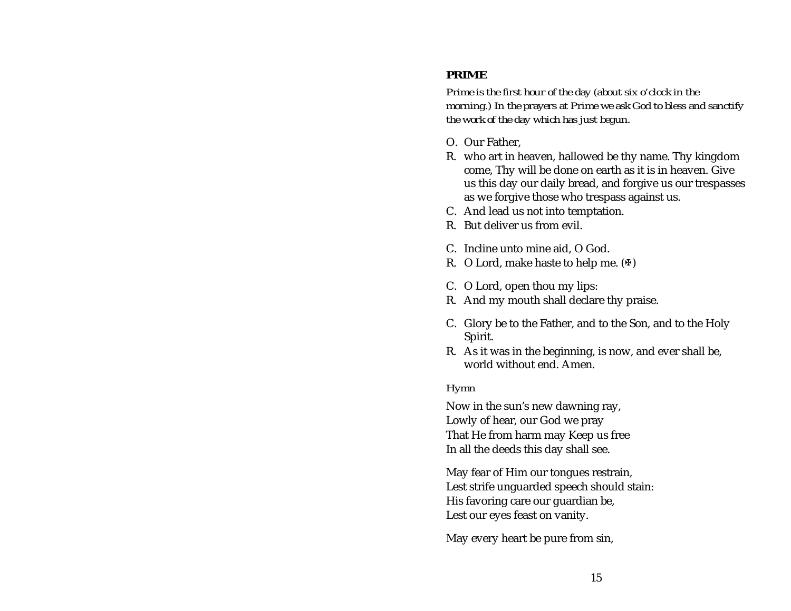## <span id="page-19-0"></span>**PRIME**

*Prime is the first hour of the day (about six o'clock in the morning.) In the prayers at Prime we ask God to bless and sanctify the work of the day which has just begun.*

- O. Our Father,
- R. who art in heaven, hallowed be thy name. Thy kingdom come, Thy will be done on earth as it is in heaven. Give us this day our daily bread, and forgive us our trespasses as we forgive those who trespass against us.
- C. And lead us not into temptation.
- R. But deliver us from evil.
- C. Incline unto mine aid, O God.
- R. O Lord, make haste to help me.  $(\Phi)$
- C. O Lord, open thou my lips:
- R. And my mouth shall declare thy praise.
- C. Glory be to the Father, and to the Son, and to the Holy Spirit.
- R. As it was in the beginning, is now, and ever shall be, world without end. Amen.

### *Hymn*

Now in the sun's new dawning ray, Lowly of hear, our God we pray That He from harm may Keep us free In all the deeds this day shall see.

May fear of Him our tongues restrain, Lest strife unguarded speech should stain: His favoring care our guardian be, Lest our eyes feast on vanity.

May every heart be pure from sin,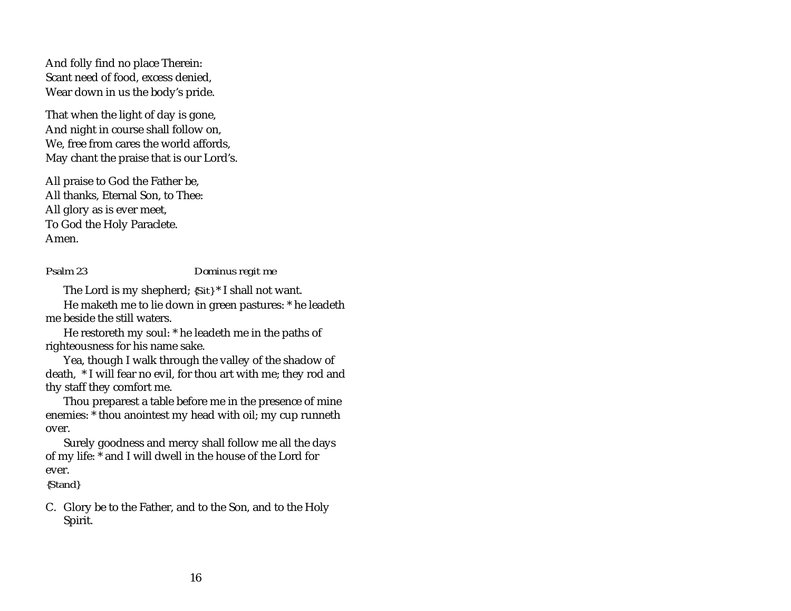<span id="page-20-0"></span>And folly find no place Therein: Scant need of food, excess denied, Wear down in us the body's pride.

That when the light of day is gone, And night in course shall follow on, We, free from cares the world affords, May chant the praise that is our Lord's.

All praise to God the Father be, All thanks, Eternal Son, to Thee: All glory as is ever meet, To God the Holy Paraclete. Amen.

*Psalm 23 Dominus regit me*

The Lord is my shepherd; *{Sit}* \* I shall not want.

He maketh me to lie down in green pastures: \* he leadeth me beside the still waters.

He restoreth my soul: \* he leadeth me in the paths of righteousness for his name sake.

Yea, though I walk through the valley of the shadow of death, \* I will fear no evil, for thou art with me; they rod and thy staff they comfort me.

Thou preparest a table before me in the presence of mine enemies: \* thou anointest my head with oil; my cup runneth over.

Surely goodness and mercy shall follow me all the days of my life: \* and I will dwell in the house of the Lord for ever.

*{Stand}*

C. Glory be to the Father, and to the Son, and to the Holy Spirit.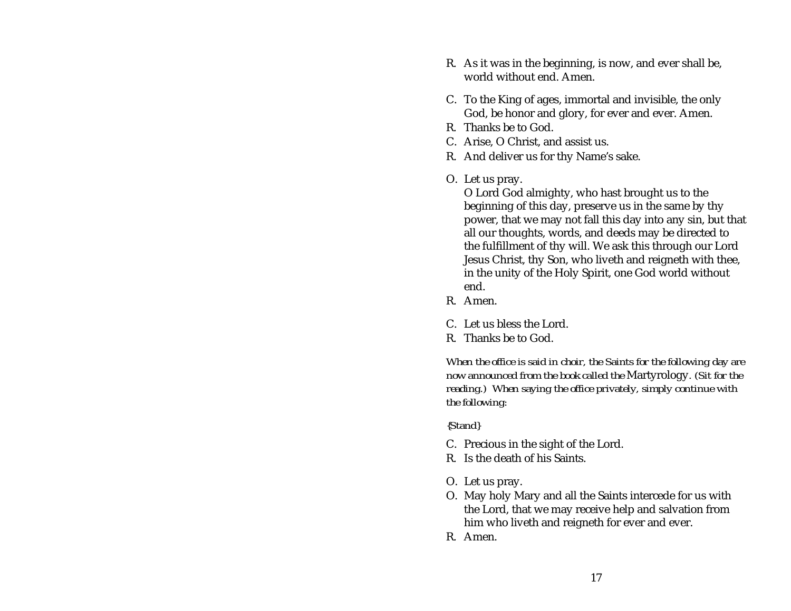- R. As it was in the beginning, is now, and ever shall be, world without end. Amen.
- C. To the King of ages, immortal and invisible, the only God, be honor and glory, for ever and ever. Amen.
- R. Thanks be to God.
- C. Arise, O Christ, and assist us.
- R. And deliver us for thy Name's sake.
- O. Let us pray.

O Lord God almighty, who hast brought us to the beginning of this day, preserve us in the same by thy power, that we may not fall this day into any sin, but that all our thoughts, words, and deeds may be directed to the fulfillment of thy will. We ask this through our Lord Jesus Christ, thy Son, who liveth and reigneth with thee, in the unity of the Holy Spirit, one God world without end.

- R. Amen.
- C. Let us bless the Lord.
- R. Thanks be to God.

*When the office is said in choir, the Saints for the following day are now announced from the book called the* Martyrology*. (Sit for the reading.) When saying the office privately, simply continue with the following:*

#### *{Stand}*

- C. Precious in the sight of the Lord.
- R. Is the death of his Saints.
- O. Let us pray.
- O. May holy Mary and all the Saints intercede for us with the Lord, that we may receive help and salvation from him who liveth and reigneth for ever and ever.
- R. Amen.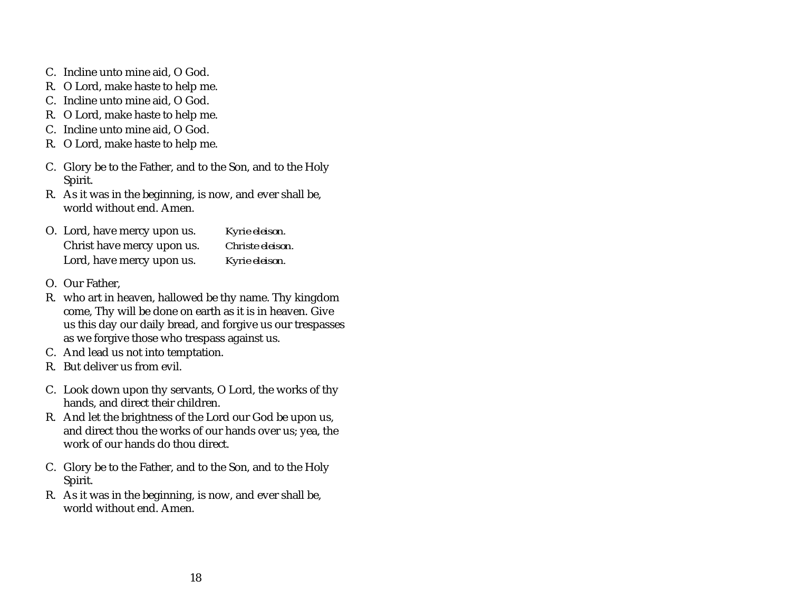- C. Incline unto mine aid, O God.
- R. O Lord, make haste to help me.
- C. Incline unto mine aid, O God.
- R. O Lord, make haste to help me.
- C. Incline unto mine aid, O God.
- R. O Lord, make haste to help me.
- C. Glory be to the Father, and to the Son, and to the Holy Spirit.
- R. As it was in the beginning, is now, and ever shall be, world without end. Amen.

| O. Lord, have mercy upon us. | Kyrie eleison.   |
|------------------------------|------------------|
| Christ have mercy upon us.   | Christe eleison. |
| Lord, have mercy upon us.    | Kyrie eleison.   |

- O. Our Father,
- R. who art in heaven, hallowed be thy name. Thy kingdom come, Thy will be done on earth as it is in heaven. Give us this day our daily bread, and forgive us our trespasses as we forgive those who trespass against us.
- C. And lead us not into temptation.
- R. But deliver us from evil.
- C. Look down upon thy servants, O Lord, the works of thy hands, and direct their children.
- R. And let the brightness of the Lord our God be upon us, and direct thou the works of our hands over us; yea, the work of our hands do thou direct.
- C. Glory be to the Father, and to the Son, and to the Holy Spirit.
- R. As it was in the beginning, is now, and ever shall be, world without end. Amen.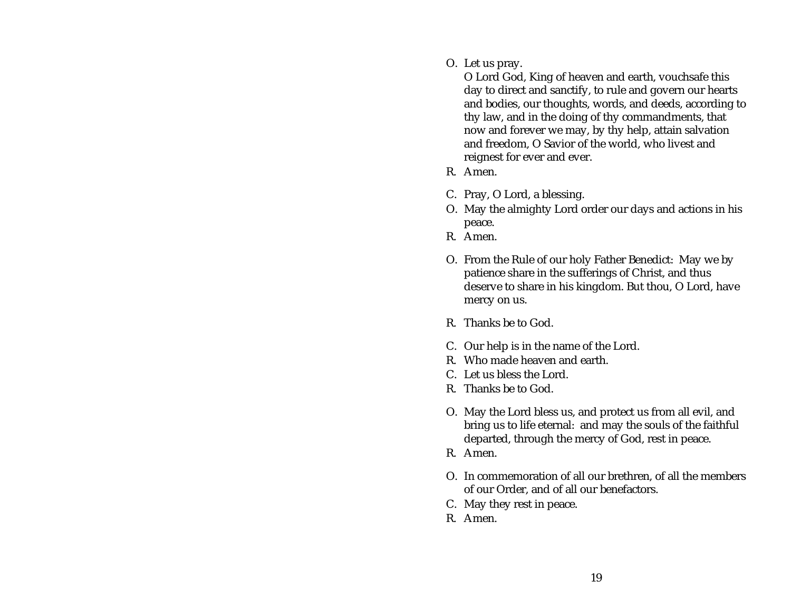O. Let us pray.

O Lord God, King of heaven and earth, vouchsafe this day to direct and sanctify, to rule and govern our hearts and bodies, our thoughts, words, and deeds, according to thy law, and in the doing of thy commandments, that now and forever we may, by thy help, attain salvation and freedom, O Savior of the world, who livest and reignest for ever and ever.

- R. Amen.
- C. Pray, O Lord, a blessing.
- O. May the almighty Lord order our days and actions in his peace.
- R. Amen.
- O. From the Rule of our holy Father Benedict: May we by patience share in the sufferings of Christ, and thus deserve to share in his kingdom. But thou, O Lord, have mercy on us.
- R. Thanks be to God.
- C. Our help is in the name of the Lord.
- R. Who made heaven and earth.
- C. Let us bless the Lord.
- R. Thanks be to God.
- O. May the Lord bless us, and protect us from all evil, and bring us to life eternal: and may the souls of the faithful departed, through the mercy of God, rest in peace.
- R. Amen.
- O. In commemoration of all our brethren, of all the members of our Order, and of all our benefactors.
- C. May they rest in peace.
- R. Amen.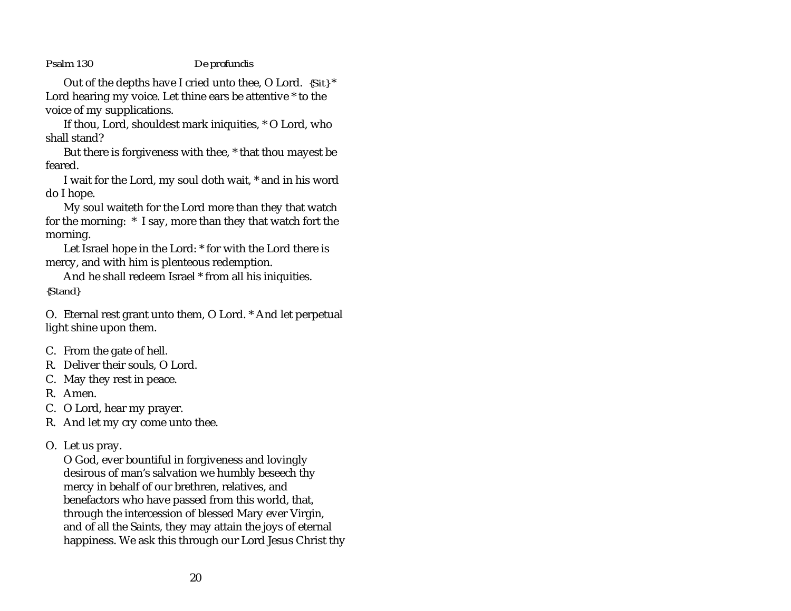#### <span id="page-24-0"></span>*Psalm 130 De profundis*

Out of the depths have I cried unto thee, O Lord. *{Sit}* \* Lord hearing my voice. Let thine ears be attentive \* to the voice of my supplications.

If thou, Lord, shouldest mark iniquities, \* O Lord, who shall stand?

But there is forgiveness with thee, \* that thou mayest be feared.

I wait for the Lord, my soul doth wait, \* and in his word do I hope.

My soul waiteth for the Lord more than they that watch for the morning: \* I say, more than they that watch fort the morning.

Let Israel hope in the Lord: \* for with the Lord there is mercy, and with him is plenteous redemption.

And he shall redeem Israel \* from all his iniquities. *{Stand}*

O. Eternal rest grant unto them, O Lord. \* And let perpetual light shine upon them.

- C. From the gate of hell.
- R. Deliver their souls, O Lord.
- C. May they rest in peace.
- R. Amen.
- C. O Lord, hear my prayer.
- R. And let my cry come unto thee.
- O. Let us pray.

O God, ever bountiful in forgiveness and lovingly desirous of man's salvation we humbly beseech thy mercy in behalf of our brethren, relatives, and benefactors who have passed from this world, that, through the intercession of blessed Mary ever Virgin, and of all the Saints, they may attain the joys of eternal happiness. We ask this through our Lord Jesus Christ thy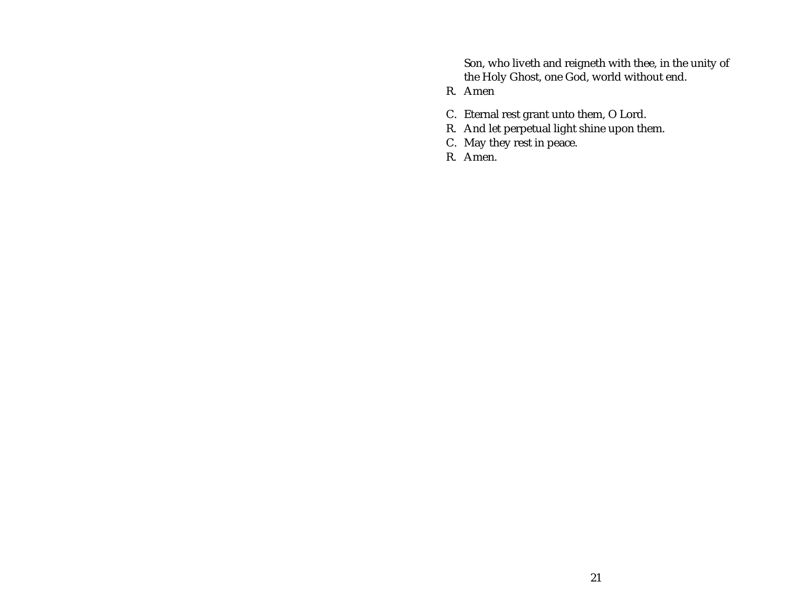Son, who liveth and reigneth with thee, in the unity of the Holy Ghost, one God, world without end.

- R. Amen
- C. Eternal rest grant unto them, O Lord.
- R. And let perpetual light shine upon them.
- C. May they rest in peace.
- R. Amen.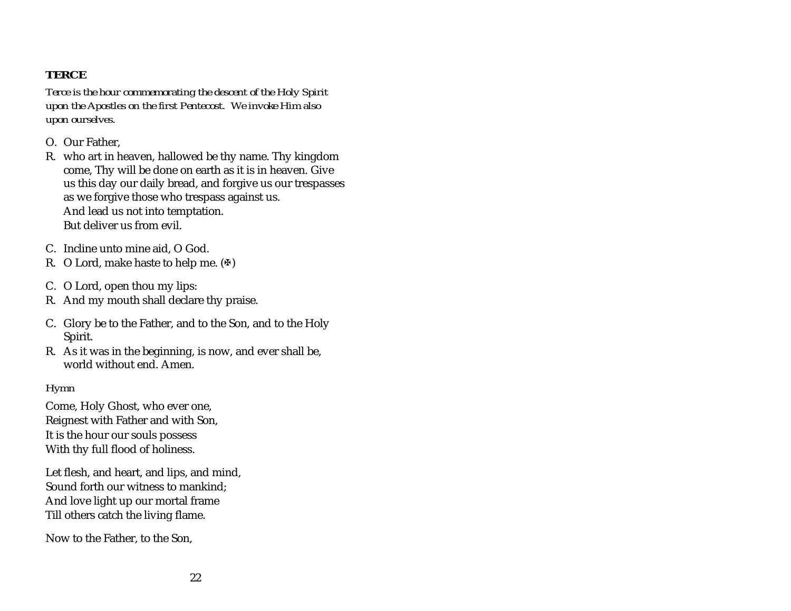# <span id="page-26-0"></span>**TERCE**

*Terce is the hour commemorating the descent of the Holy Spirit upon the Apostles on the first Pentecost. We invoke Him also upon ourselves.*

- O. Our Father,
- R. who art in heaven, hallowed be thy name. Thy kingdom come, Thy will be done on earth as it is in heaven. Give us this day our daily bread, and forgive us our trespasses as we forgive those who trespass against us. And lead us not into temptation. But deliver us from evil.
- C. Incline unto mine aid, O God.
- R. O Lord, make haste to help me.  $(\Phi)$
- C. O Lord, open thou my lips:
- R. And my mouth shall declare thy praise.
- C. Glory be to the Father, and to the Son, and to the Holy Spirit.
- R. As it was in the beginning, is now, and ever shall be, world without end. Amen.

### *Hymn*

Come, Holy Ghost, who ever one, Reignest with Father and with Son, It is the hour our souls possess With thy full flood of holiness.

Let flesh, and heart, and lips, and mind, Sound forth our witness to mankind; And love light up our mortal frame Till others catch the living flame.

Now to the Father, to the Son,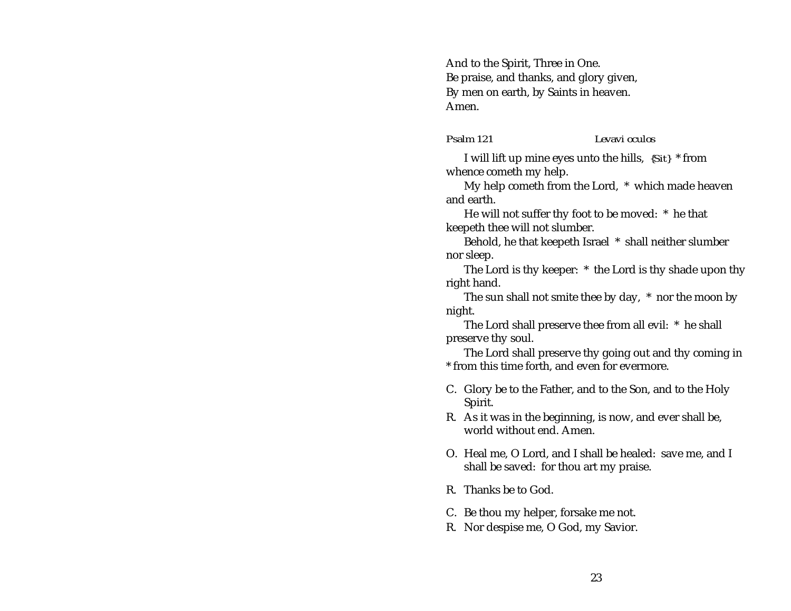<span id="page-27-0"></span>And to the Spirit, Three in One. Be praise, and thanks, and glory given, By men on earth, by Saints in heaven. Amen.

*Psalm 121 Levavi oculos*

I will lift up mine eyes unto the hills, *{Sit}* \* from whence cometh my help.

My help cometh from the Lord, \* which made heaven and earth.

He will not suffer thy foot to be moved: \* he that keepeth thee will not slumber.

Behold, he that keepeth Israel \* shall neither slumber nor sleep.

The Lord is thy keeper: \* the Lord is thy shade upon thy right hand.

The sun shall not smite thee by day, \* nor the moon by night.

The Lord shall preserve thee from all evil: \* he shall preserve thy soul.

The Lord shall preserve thy going out and thy coming in \* from this time forth, and even for evermore.

- C. Glory be to the Father, and to the Son, and to the Holy Spirit.
- R. As it was in the beginning, is now, and ever shall be, world without end. Amen.
- O. Heal me, O Lord, and I shall be healed: save me, and I shall be saved: for thou art my praise.
- R. Thanks be to God.
- C. Be thou my helper, forsake me not.
- R. Nor despise me, O God, my Savior.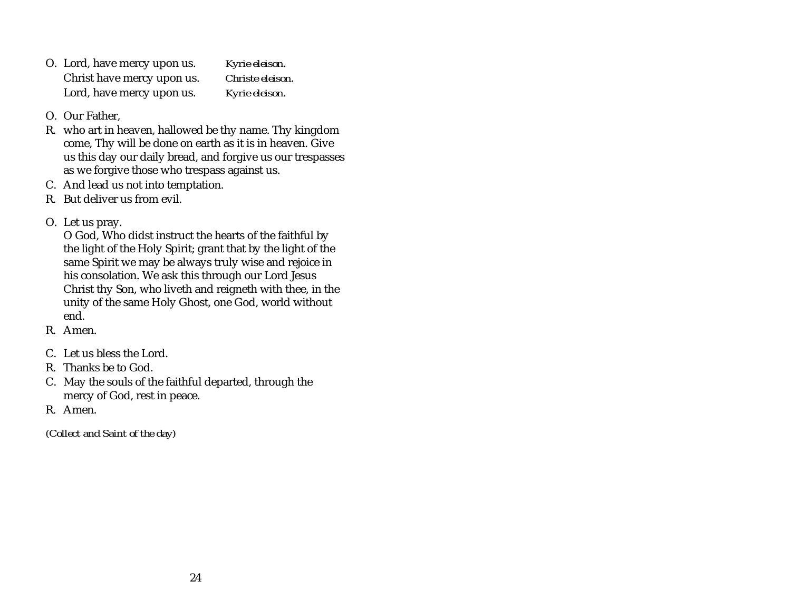- O. Lord, have mercy upon us. *Kyrie eleison*. Christ have mercy upon us. *Christe eleison*. Lord, have mercy upon us. *Kyrie eleison*.
- O. Our Father,
- R. who art in heaven, hallowed be thy name. Thy kingdom come, Thy will be done on earth as it is in heaven. Give us this day our daily bread, and forgive us our trespasses as we forgive those who trespass against us.
- C. And lead us not into temptation.
- R. But deliver us from evil.
- O. Let us pray.

O God, Who didst instruct the hearts of the faithful by the light of the Holy Spirit; grant that by the light of the same Spirit we may be always truly wise and rejoice in his consolation. We ask this through our Lord Jesus Christ thy Son, who liveth and reigneth with thee, in the unity of the same Holy Ghost, one God, world without end.

- R. Amen.
- C. Let us bless the Lord.
- R. Thanks be to God.
- C. May the souls of the faithful departed, through the mercy of God, rest in peace.
- R. Amen.

*(Collect and Saint of the day)*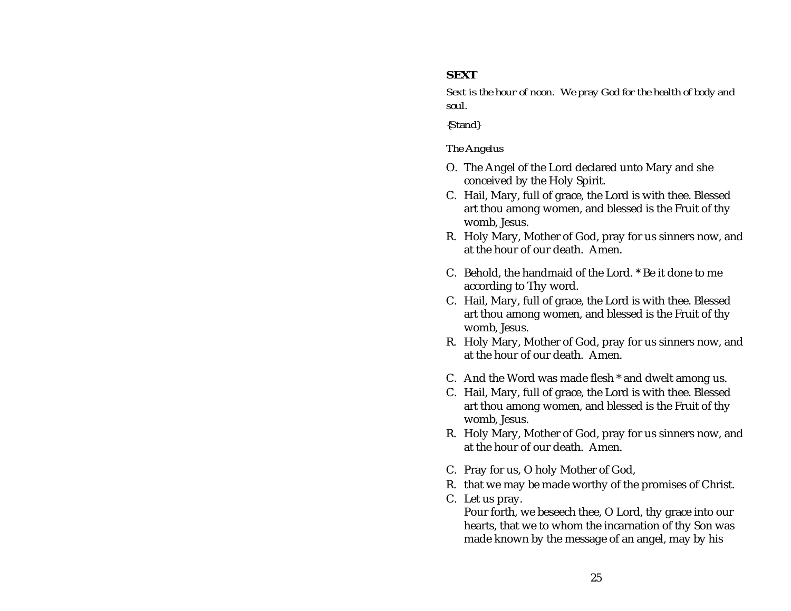## <span id="page-29-0"></span>**SEXT**

*Sext is the hour of noon. We pray God for the health of body and soul.*

*{Stand}*

#### *The Angelus*

- O. The Angel of the Lord declared unto Mary and she conceived by the Holy Spirit.
- C. Hail, Mary, full of grace, the Lord is with thee. Blessed art thou among women, and blessed is the Fruit of thy womb, Jesus.
- R. Holy Mary, Mother of God, pray for us sinners now, and at the hour of our death. Amen.
- C. Behold, the handmaid of the Lord. \* Be it done to me according to Thy word.
- C. Hail, Mary, full of grace, the Lord is with thee. Blessed art thou among women, and blessed is the Fruit of thy womb, Jesus.
- R. Holy Mary, Mother of God, pray for us sinners now, and at the hour of our death. Amen.
- C. And the Word was made flesh \* and dwelt among us.
- C. Hail, Mary, full of grace, the Lord is with thee. Blessed art thou among women, and blessed is the Fruit of thy womb, Jesus.
- R. Holy Mary, Mother of God, pray for us sinners now, and at the hour of our death. Amen.
- C. Pray for us, O holy Mother of God,
- R. that we may be made worthy of the promises of Christ.
- C. Let us pray.

Pour forth, we beseech thee, O Lord, thy grace into our hearts, that we to whom the incarnation of thy Son was made known by the message of an angel, may by his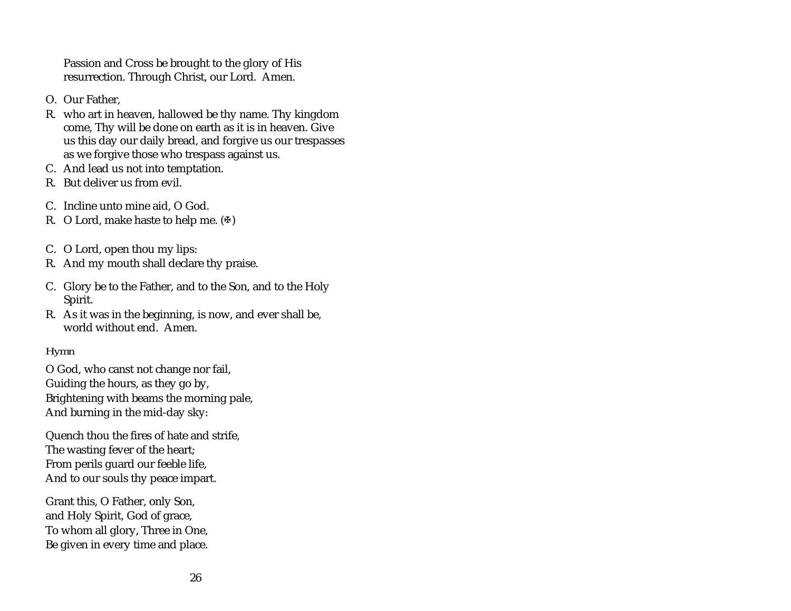Passion and Cross be brought to the glory of His resurrection. Through Christ, our Lord. Amen.

- O. Our Father,
- R. who art in heaven, hallowed be thy name. Thy kingdom come, Thy will be done on earth as it is in heaven. Give us this day our daily bread, and forgive us our trespasses as we forgive those who trespass against us.
- C. And lead us not into temptation.
- R. But deliver us from evil.
- C. Incline unto mine aid, O God.
- R. O Lord, make haste to help me.  $(\Phi)$
- C. O Lord, open thou my lips:
- R. And my mouth shall declare thy praise.
- C. Glory be to the Father, and to the Son, and to the Holy Spirit.
- R. As it was in the beginning, is now, and ever shall be, world without end. Amen.

# *Hymn*

O God, who canst not change nor fail, Guiding the hours, as they go by, Brightening with beams the morning pale, And burning in the mid-day sky:

Quench thou the fires of hate and strife, The wasting fever of the heart; From perils guard our feeble life, And to our souls thy peace impart.

Grant this, O Father, only Son, and Holy Spirit, God of grace, To whom all glory, Three in One, Be given in every time and place.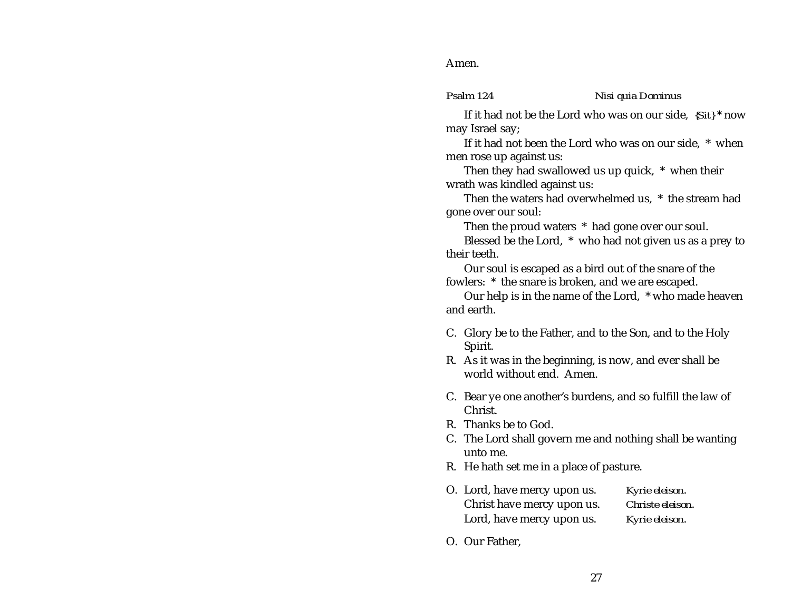<span id="page-31-0"></span>Amen.

#### *Psalm 124 Nisi quia Dominus*

If it had not be the Lord who was on our side, *{Sit}* \* now may Israel say;

If it had not been the Lord who was on our side, \* when men rose up against us:

Then they had swallowed us up quick, \* when their wrath was kindled against us:

Then the waters had overwhelmed us, \* the stream had gone over our soul:

Then the proud waters \* had gone over our soul.

Blessed be the Lord, \* who had not given us as a prey to their teeth.

Our soul is escaped as a bird out of the snare of the fowlers: \* the snare is broken, and we are escaped.

Our help is in the name of the Lord, \* who made heaven and earth.

- C. Glory be to the Father, and to the Son, and to the Holy Spirit.
- R. As it was in the beginning, is now, and ever shall be world without end. Amen.
- C. Bear ye one another's burdens, and so fulfill the law of Christ.
- R. Thanks be to God.
- C. The Lord shall govern me and nothing shall be wanting unto me.
- R. He hath set me in a place of pasture.
- O. Lord, have mercy upon us. *Kyrie eleison*. Christ have mercy upon us. *Christe eleison*. Lord, have mercy upon us. *Kyrie eleison*.
- O. Our Father,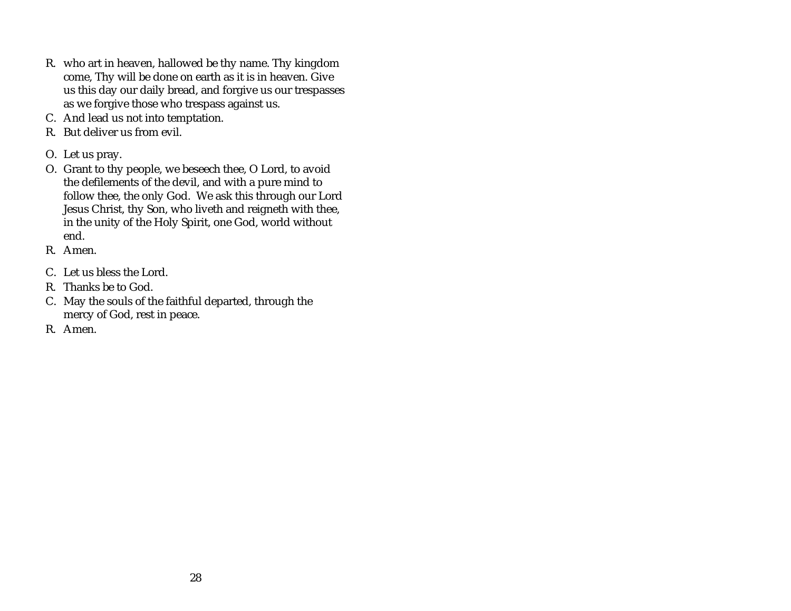- R. who art in heaven, hallowed be thy name. Thy kingdom come, Thy will be done on earth as it is in heaven. Give us this day our daily bread, and forgive us our trespasses as we forgive those who trespass against us.
- C. And lead us not into temptation.
- R. But deliver us from evil.
- O. Let us pray.
- O. Grant to thy people, we beseech thee, O Lord, to avoid the defilements of the devil, and with a pure mind to follow thee, the only God. We ask this through our Lord Jesus Christ, thy Son, who liveth and reigneth with thee, in the unity of the Holy Spirit, one God, world without end.
- R. Amen.
- C. Let us bless the Lord.
- R. Thanks be to God.
- C. May the souls of the faithful departed, through the mercy of God, rest in peace.
- R. Amen.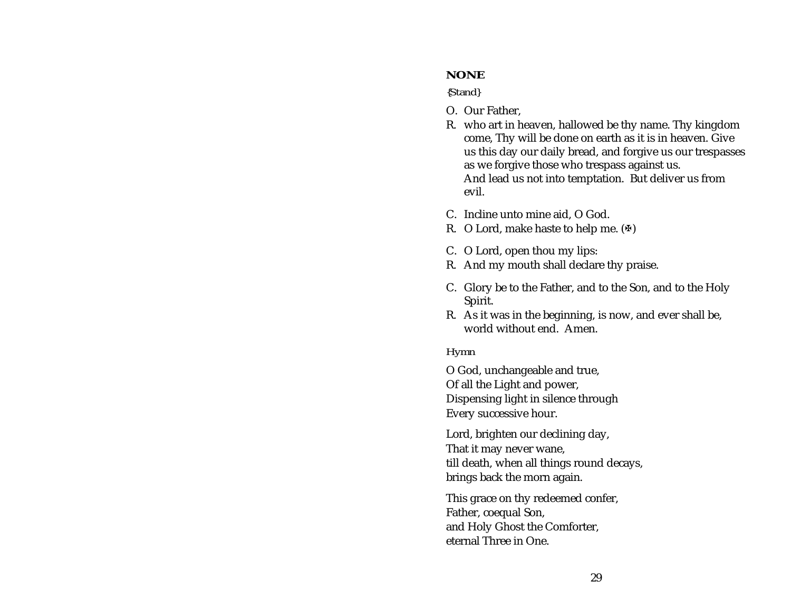#### <span id="page-33-0"></span>**NONE**

#### *{Stand}*

- O. Our Father,
- R. who art in heaven, hallowed be thy name. Thy kingdom come, Thy will be done on earth as it is in heaven. Give us this day our daily bread, and forgive us our trespasses as we forgive those who trespass against us. And lead us not into temptation. But deliver us from evil.
- C. Incline unto mine aid, O God.
- R. O Lord, make haste to help me.  $(\Phi)$
- C. O Lord, open thou my lips:
- R. And my mouth shall declare thy praise.
- C. Glory be to the Father, and to the Son, and to the Holy Spirit.
- R. As it was in the beginning, is now, and ever shall be, world without end. Amen.

#### *Hymn*

O God, unchangeable and true, Of all the Light and power, Dispensing light in silence through Every successive hour.

Lord, brighten our declining day, That it may never wane, till death, when all things round decays, brings back the morn again.

This grace on thy redeemed confer, Father, coequal Son, and Holy Ghost the Comforter, eternal Three in One.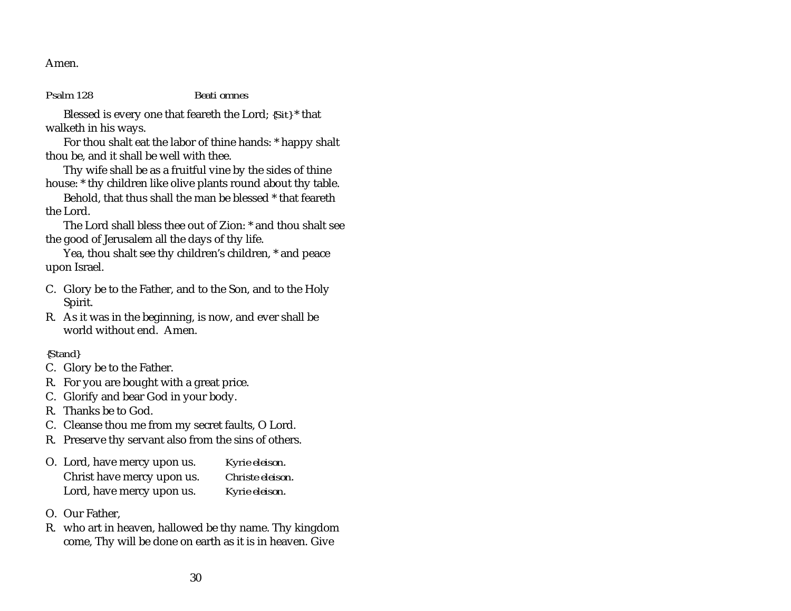<span id="page-34-0"></span>Amen.

*Psalm 128 Beati omnes*

Blessed is every one that feareth the Lord; *{Sit}* \* that walketh in his ways.

For thou shalt eat the labor of thine hands: \* happy shalt thou be, and it shall be well with thee.

Thy wife shall be as a fruitful vine by the sides of thine house: \* thy children like olive plants round about thy table.

Behold, that thus shall the man be blessed \* that feareth the Lord.

The Lord shall bless thee out of Zion: \* and thou shalt seethe good of Jerusalem all the days of thy life.

Yea, thou shalt see thy children's children, \* and peace upon Israel.

- C. Glory be to the Father, and to the Son, and to the Holy Spirit.
- R. As it was in the beginning, is now, and ever shall be world without end. Amen.

# *{Stand}*

- C. Glory be to the Father.
- R. For you are bought with a great price.
- C. Glorify and bear God in your body.
- R. Thanks be to God.
- C. Cleanse thou me from my secret faults, O Lord.
- R. Preserve thy servant also from the sins of others.

| O. Lord, have mercy upon us. | Kyrie eleison.   |
|------------------------------|------------------|
| Christ have mercy upon us.   | Christe eleison. |
| Lord, have mercy upon us.    | Kyrie eleison.   |

- O. Our Father,
- R. who art in heaven, hallowed be thy name. Thy kingdom come, Thy will be done on earth as it is in heaven. Give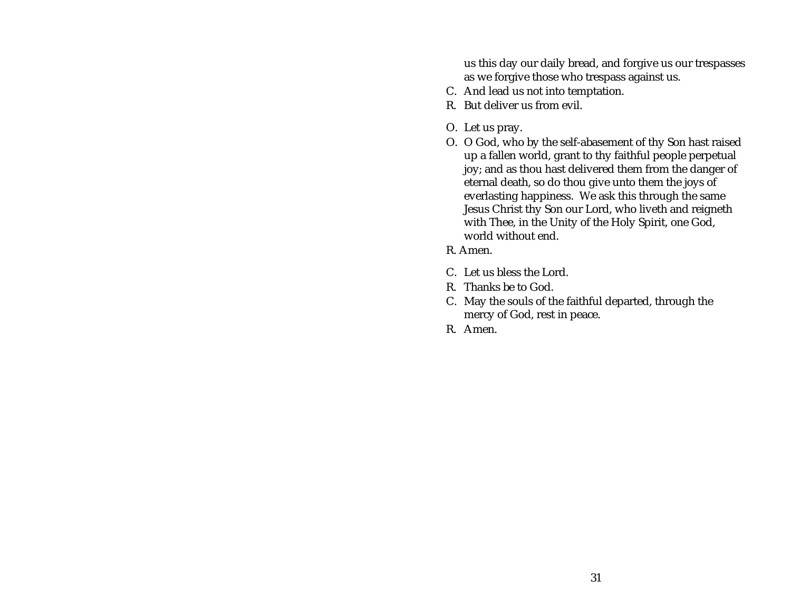us this day our daily bread, and forgive us our trespasses as we forgive those who trespass against us.

- C. And lead us not into temptation.
- R. But deliver us from evil.
- O. Let us pray.
- O. O God, who by the self-abasement of thy Son hast raised up a fallen world, grant to thy faithful people perpetual joy; and as thou hast delivered them from the danger of eternal death, so do thou give unto them the joys of everlasting happiness. We ask this through the same Jesus Christ thy Son our Lord, who liveth and reigneth with Thee, in the Unity of the Holy Spirit, one God, world without end.
- R. Amen.
- C. Let us bless the Lord.
- R. Thanks be to God.
- C. May the souls of the faithful departed, through the mercy of God, rest in peace.
- R. Amen.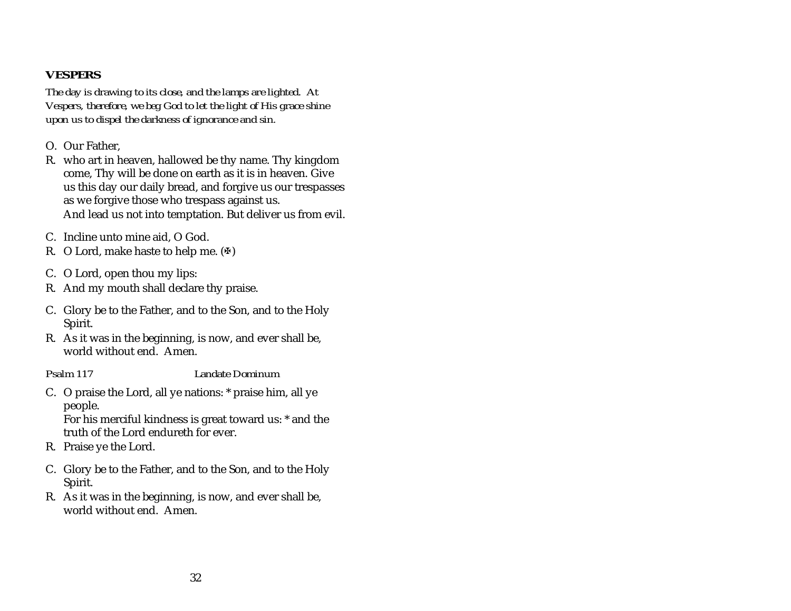# <span id="page-36-0"></span>**VESPERS**

*The day is drawing to its close, and the lamps are lighted. At Vespers, therefore, we beg God to let the light of His grace shine upon us to dispel the darkness of ignorance and sin.*

- O. Our Father,
- R. who art in heaven, hallowed be thy name. Thy kingdom come, Thy will be done on earth as it is in heaven. Give us this day our daily bread, and forgive us our trespasses as we forgive those who trespass against us. And lead us not into temptation. But deliver us from evil.
- C. Incline unto mine aid, O God.
- R. O Lord, make haste to help me.  $(\Phi)$
- C. O Lord, open thou my lips:
- R. And my mouth shall declare thy praise.
- C. Glory be to the Father, and to the Son, and to the Holy Spirit.
- R. As it was in the beginning, is now, and ever shall be, world without end. Amen.
- 

#### *Psalm 117 Landate Dominum*

C. O praise the Lord, all ye nations: \* praise him, all ye people. For his merciful kindness is great toward us: \* and the

truth of the Lord endureth for ever.

- R. Praise ye the Lord.
- C. Glory be to the Father, and to the Son, and to the Holy Spirit.
- R. As it was in the beginning, is now, and ever shall be, world without end. Amen.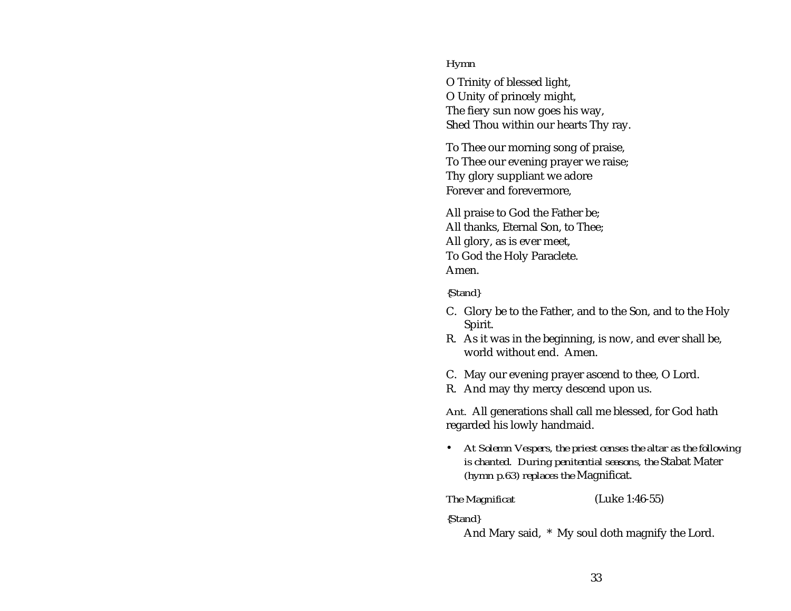#### *Hymn*

O Trinity of blessed light, O Unity of princely might, The fiery sun now goes his way, Shed Thou within our hearts Thy ray.

To Thee our morning song of praise, To Thee our evening prayer we raise; Thy glory suppliant we adore Forever and forevermore,

All praise to God the Father be; All thanks, Eternal Son, to Thee; All glory, as is ever meet, To God the Holy Paraclete. Amen.

#### *{Stand}*

- C. Glory be to the Father, and to the Son, and to the Holy Spirit.
- R. As it was in the beginning, is now, and ever shall be, world without end. Amen.
- C. May our evening prayer ascend to thee, O Lord.
- R. And may thy mercy descend upon us.

*Ant.* All generations shall call me blessed, for God hath regarded his lowly handmaid.

• *At Solemn Vespers, the priest censes the altar as the following is chanted. During penitential seasons, the* Stabat Mater *(hymn p.[63\)](#page-67-0) replaces the* Magnificat.

*The Magnificat* (Luke 1:46-55)

*{Stand}*

And Mary said, \* My soul doth magnify the Lord.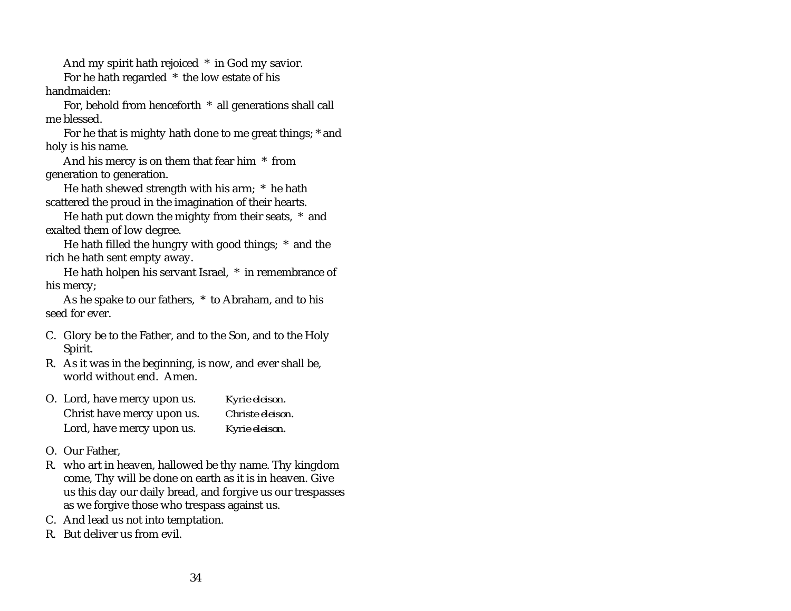And my spirit hath rejoiced \* in God my savior.

For he hath regarded \* the low estate of his handmaiden:

For, behold from henceforth \* all generations shall call me blessed.

For he that is mighty hath done to me great things; \* and holy is his name.

And his mercy is on them that fear him \* from generation to generation.

He hath shewed strength with his arm; \* he hath scattered the proud in the imagination of their hearts.

He hath put down the mighty from their seats, \* and exalted them of low degree.

He hath filled the hungry with good things; \* and the rich he hath sent empty away.

He hath holpen his servant Israel, \* in remembrance of his mercy;

As he spake to our fathers, \* to Abraham, and to his seed for ever.

- C. Glory be to the Father, and to the Son, and to the Holy Spirit.
- R. As it was in the beginning, is now, and ever shall be, world without end. Amen.

| O. Lord, have mercy upon us. | Kyrie eleison.   |
|------------------------------|------------------|
| Christ have mercy upon us.   | Christe eleison. |
| Lord, have mercy upon us.    | Kyrie eleison.   |

- O. Our Father,
- R. who art in heaven, hallowed be thy name. Thy kingdom come, Thy will be done on earth as it is in heaven. Give us this day our daily bread, and forgive us our trespasses as we forgive those who trespass against us.
- C. And lead us not into temptation.
- R. But deliver us from evil.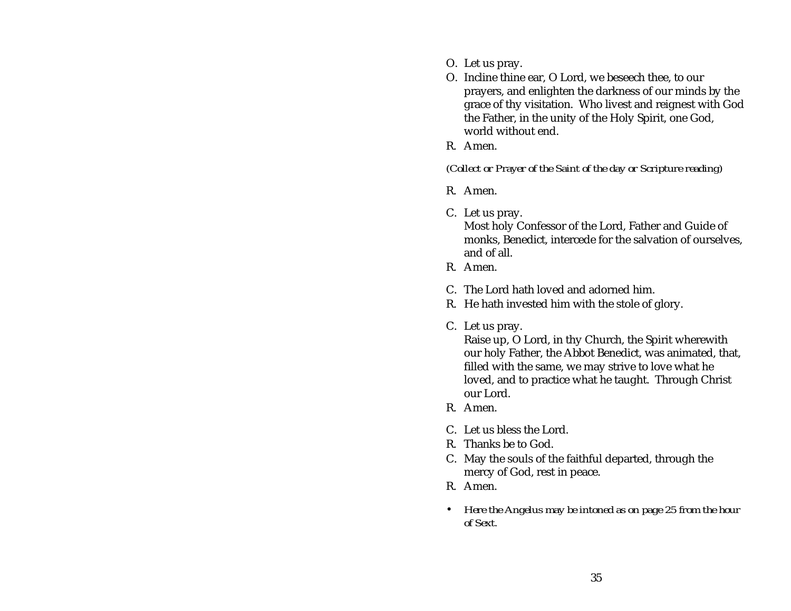- O. Let us pray.
- O. Incline thine ear, O Lord, we beseech thee, to our prayers, and enlighten the darkness of our minds by the grace of thy visitation. Who livest and reignest with God the Father, in the unity of the Holy Spirit, one God, world without end.
- R. Amen.

*(Collect or Prayer of the Saint of the day or Scripture reading)*

- R. Amen.
- C. Let us pray.

Most holy Confessor of the Lord, Father and Guide of monks, Benedict, intercede for the salvation of ourselves, and of all.

- R. Amen.
- C. The Lord hath loved and adorned him.
- R. He hath invested him with the stole of glory.
- C. Let us pray.

Raise up, O Lord, in thy Church, the Spirit wherewith our holy Father, the Abbot Benedict, was animated, that, filled with the same, we may strive to love what he loved, and to practice what he taught. Through Christ our Lord.

- R. Amen.
- C. Let us bless the Lord.
- R. Thanks be to God.
- C. May the souls of the faithful departed, through the mercy of God, rest in peace.
- R. Amen.
- *Here the Angelus may be intoned as on page [25](#page-29-0) from the hour of Sext.*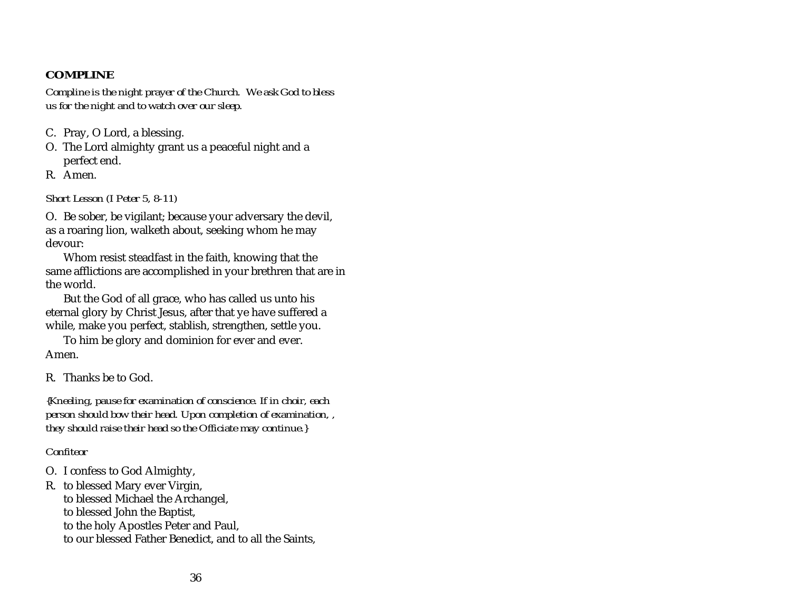# <span id="page-40-0"></span>**COMPLINE**

*Compline is the night prayer of the Church. We ask God to bless us for the night and to watch over our sleep.*

- C. Pray, O Lord, a blessing.
- O. The Lord almighty grant us a peaceful night and a perfect end.
- R. Amen.

*Short Lesson (I Peter 5, 8-11)*

O. Be sober, be vigilant; because your adversary the devil, as a roaring lion, walketh about, seeking whom he may devour:

Whom resist steadfast in the faith, knowing that the same afflictions are accomplished in your brethren that are in the world.

But the God of all grace, who has called us unto his eternal glory by Christ Jesus, after that ye have suffered a while, make you perfect, stablish, strengthen, settle you.

To him be glory and dominion for ever and ever. Amen.

R. Thanks be to God.

*{Kneeling, pause for examination of conscience. If in choir, each person should bow their head. Upon completion of examination, , they should raise their head so the Officiate may continue.}*

### *Confiteor*

O. I confess to God Almighty,

R. to blessed Mary ever Virgin, to blessed Michael the Archangel, to blessed John the Baptist, to the holy Apostles Peter and Paul, to our blessed Father Benedict, and to all the Saints,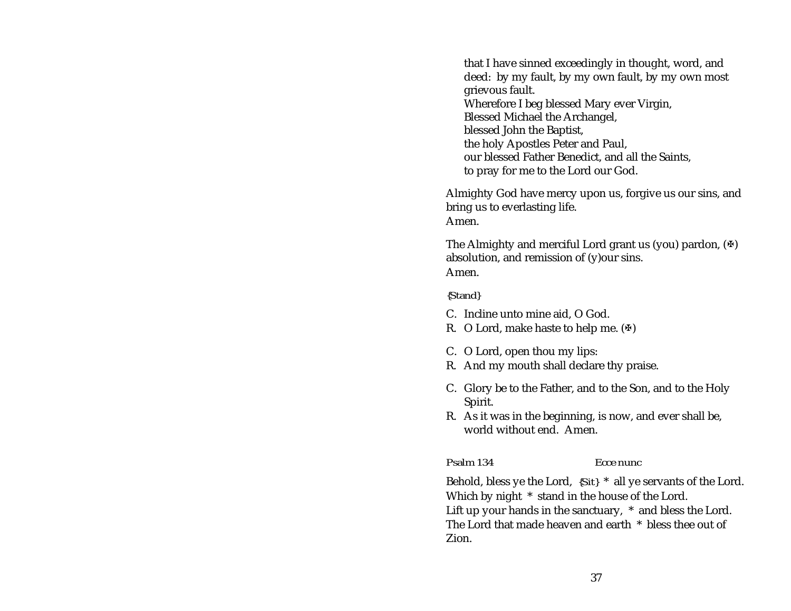<span id="page-41-0"></span>that I have sinned exceedingly in thought, word, and deed: by my fault, by my own fault, by my own most grievous fault. Wherefore I beg blessed Mary ever Virgin, Blessed Michael the Archangel, blessed John the Baptist, the holy Apostles Peter and Paul, our blessed Father Benedict, and all the Saints, to pray for me to the Lord our God.

Almighty God have mercy upon us, forgive us our sins, and bring us to everlasting life. Amen.

The Almighty and merciful Lord grant us (you) pardon,  $(\mathcal{F})$ absolution, and remission of (y)our sins. Amen.

#### *{Stand}*

- C. Incline unto mine aid, O God.
- R. O Lord, make haste to help me.  $(\Phi)$
- C. O Lord, open thou my lips:
- R. And my mouth shall declare thy praise.
- C. Glory be to the Father, and to the Son, and to the Holy Spirit.
- R. As it was in the beginning, is now, and ever shall be, world without end. Amen.

Zion.

*Psalm 134 Ecce nunc*

Behold, bless ye the Lord, *{Sit}* \* all ye servants of the Lord. Which by night \* stand in the house of the Lord. Lift up your hands in the sanctuary, \* and bless the Lord. The Lord that made heaven and earth \* bless thee out of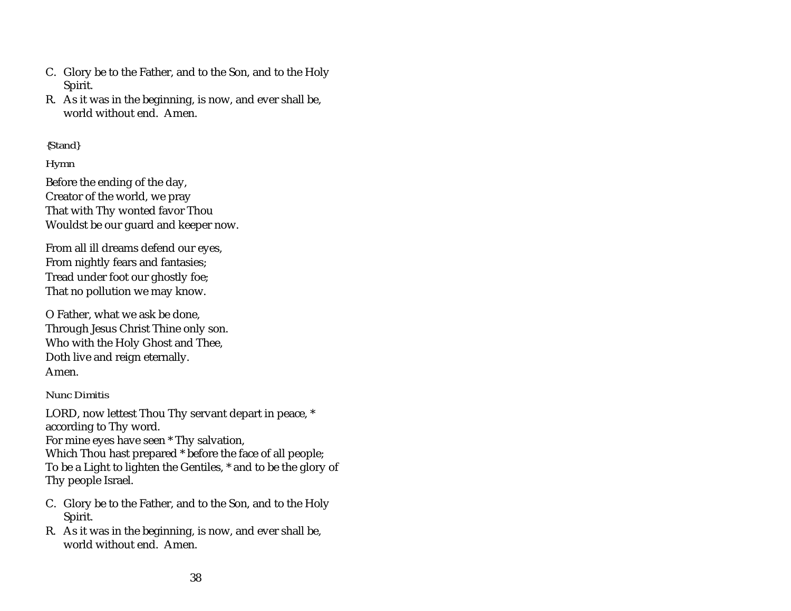- C. Glory be to the Father, and to the Son, and to the Holy Spirit.
- R. As it was in the beginning, is now, and ever shall be, world without end. Amen.

### *{Stand}*

# *Hymn*

Before the ending of the day, Creator of the world, we pray That with Thy wonted favor Thou Wouldst be our guard and keeper now.

From all ill dreams defend our eyes, From nightly fears and fantasies; Tread under foot our ghostly foe; That no pollution we may know.

O Father, what we ask be done, Through Jesus Christ Thine only son. Who with the Holy Ghost and Thee, Doth live and reign eternally. Amen.

### *Nunc Dimitis*

LORD, now lettest Thou Thy servant depart in peace, \* according to Thy word. For mine eyes have seen \* Thy salvation, Which Thou hast prepared \* before the face of all people; To be a Light to lighten the Gentiles, \* and to be the glory of Thy people Israel.

- C. Glory be to the Father, and to the Son, and to the Holy Spirit.
- R. As it was in the beginning, is now, and ever shall be, world without end. Amen.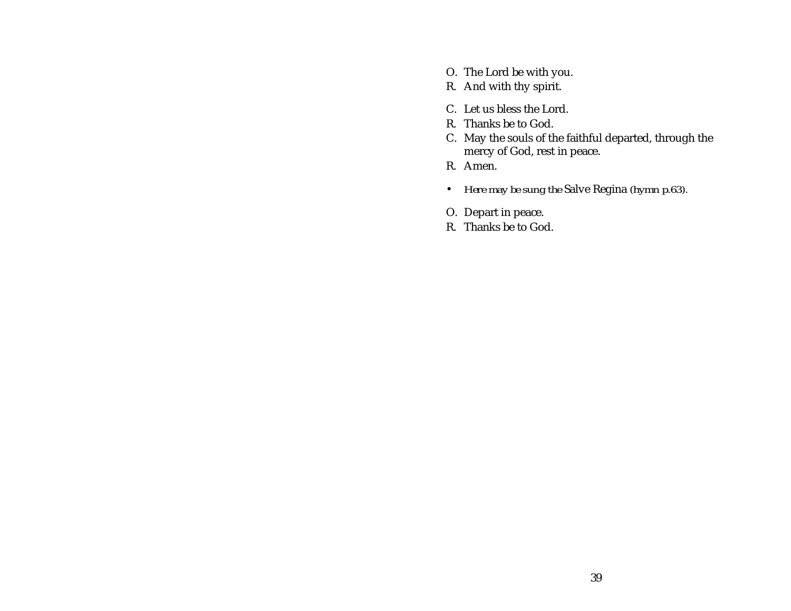- O. The Lord be with you.
- R. And with thy spirit.
- C. Let us bless the Lord.
- R. Thanks be to God.
- C. May the souls of the faithful departed, through the mercy of God, rest in peace.
- R. Amen.
- *Here may be sung the* Salve Regina *(hymn p.[63\)](#page-67-0).*
- O. Depart in peace.
- R. Thanks be to God.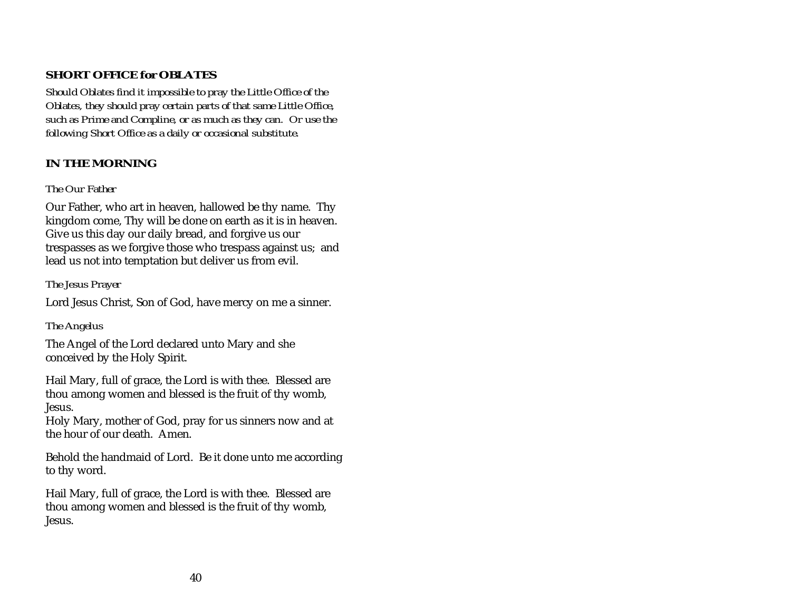# <span id="page-44-0"></span>**SHORT OFFICE for OBLATES**

*Should Oblates find it impossible to pray the Little Office of the Oblates, they should pray certain parts of that same Little Office, such as Prime and Compline, or as much as they can. Or use the following Short Office as a daily or occasional substitute.*

# **IN THE MORNING**

### *The Our Father*

Our Father, who art in heaven, hallowed be thy name. Thy kingdom come, Thy will be done on earth as it is in heaven. Give us this day our daily bread, and forgive us our trespasses as we forgive those who trespass against us; and lead us not into temptation but deliver us from evil.

# *The Jesus Prayer*

Lord Jesus Christ, Son of God, have mercy on me a sinner.

# *The Angelus*

The Angel of the Lord declared unto Mary and she conceived by the Holy Spirit.

Hail Mary, full of grace, the Lord is with thee. Blessed are thou among women and blessed is the fruit of thy womb, Jesus.

Holy Mary, mother of God, pray for us sinners now and at the hour of our death. Amen.

Behold the handmaid of Lord. Be it done unto me according to thy word.

Hail Mary, full of grace, the Lord is with thee. Blessed are thou among women and blessed is the fruit of thy womb, Jesus.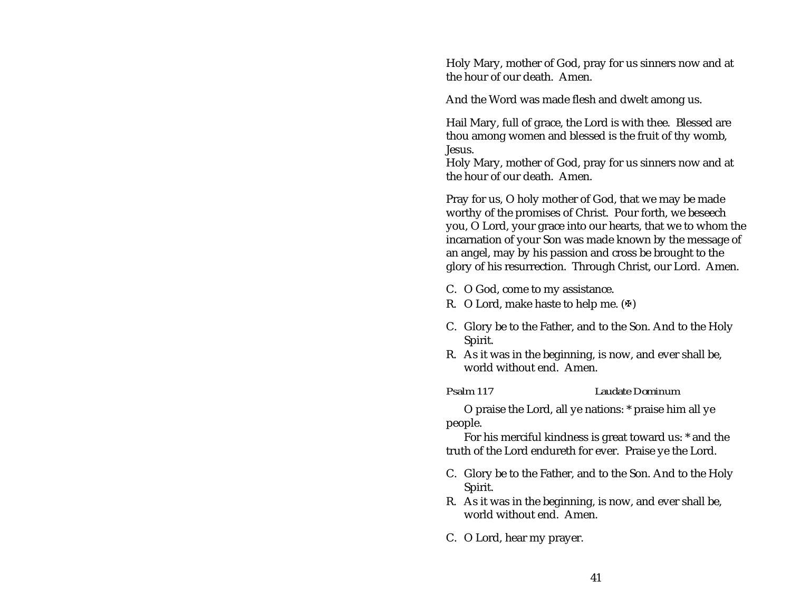Holy Mary, mother of God, pray for us sinners now and at the hour of our death. Amen.

And the Word was made flesh and dwelt among us.

Hail Mary, full of grace, the Lord is with thee. Blessed are thou among women and blessed is the fruit of thy womb, Jesus.

Holy Mary, mother of God, pray for us sinners now and at the hour of our death. Amen.

Pray for us, O holy mother of God, that we may be made worthy of the promises of Christ. Pour forth, we beseech you, O Lord, your grace into our hearts, that we to whom the incarnation of your Son was made known by the message of an angel, may by his passion and cross be brought to the glory of his resurrection. Through Christ, our Lord. Amen.

- C. O God, come to my assistance.
- R. O Lord, make haste to help me.  $(\Phi)$
- C. Glory be to the Father, and to the Son. And to the Holy Spirit.
- R. As it was in the beginning, is now, and ever shall be, world without end. Amen.

#### *Psalm 117 Laudate Dominum*

O praise the Lord, all ye nations: \* praise him all ye people.

For his merciful kindness is great toward us: \* and the truth of the Lord endureth for ever. Praise ye the Lord.

- C. Glory be to the Father, and to the Son. And to the Holy Spirit.
- R. As it was in the beginning, is now, and ever shall be, world without end. Amen.
- C. O Lord, hear my prayer.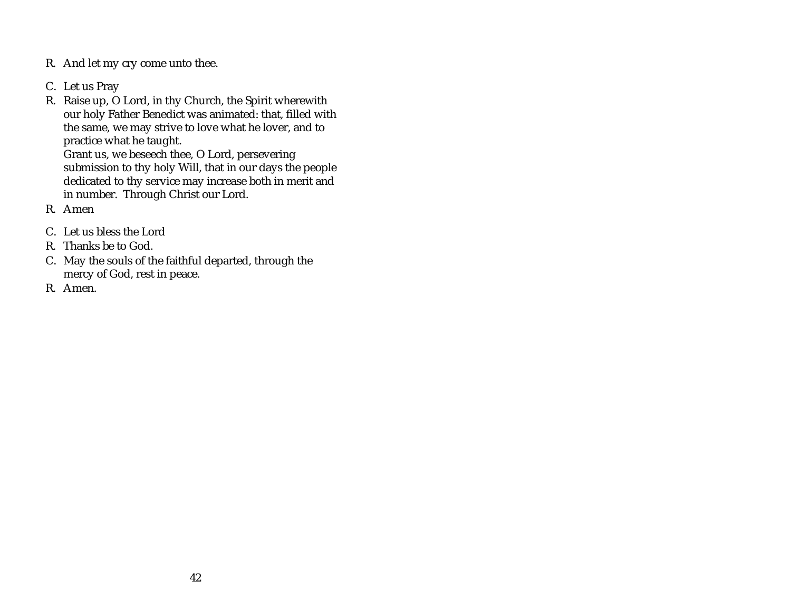- R. And let my cry come unto thee.
- C. Let us Pray
- R. Raise up, O Lord, in thy Church, the Spirit wherewith our holy Father Benedict was animated: that, filled with the same, we may strive to love what he lover, and to practice what he taught. Grant us, we beseech thee, O Lord, persevering submission to thy holy Will, that in our days the people dedicated to thy service may increase both in merit and in number. Through Christ our Lord.
- R. Amen
- C. Let us bless the Lord
- R. Thanks be to God.
- C. May the souls of the faithful departed, through the mercy of God, rest in peace.
- R. Amen.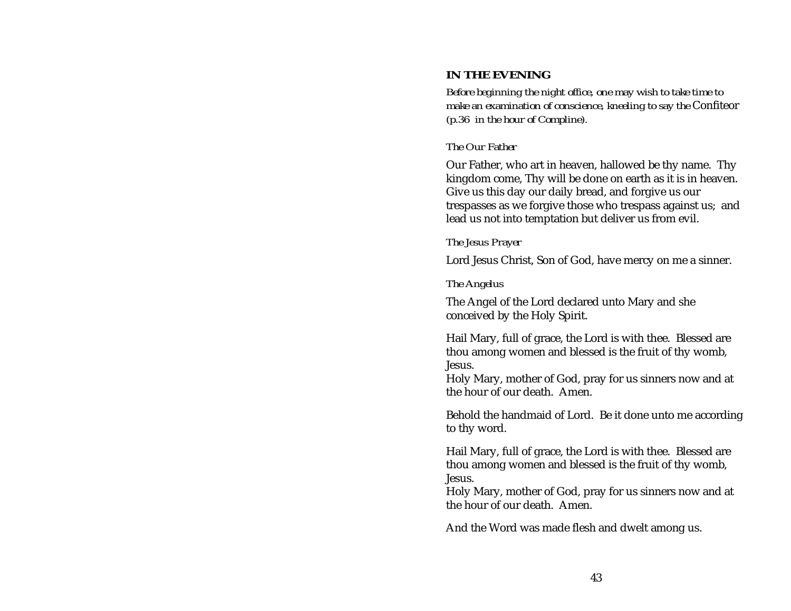# <span id="page-47-0"></span>**IN THE EVENING**

*Before beginning the night office, one may wish to take time to make an examination of conscience, kneeling to say the* Confiteor *(p.[36](#page-40-0) in the hour of Compline).*

#### *The Our Father*

Our Father, who art in heaven, hallowed be thy name. Thy kingdom come, Thy will be done on earth as it is in heaven. Give us this day our daily bread, and forgive us our trespasses as we forgive those who trespass against us; and lead us not into temptation but deliver us from evil.

#### *The Jesus Prayer*

Lord Jesus Christ, Son of God, have mercy on me a sinner.

#### *The Angelus*

The Angel of the Lord declared unto Mary and she conceived by the Holy Spirit.

Hail Mary, full of grace, the Lord is with thee. Blessed are thou among women and blessed is the fruit of thy womb, Jesus.

Holy Mary, mother of God, pray for us sinners now and at the hour of our death. Amen.

Behold the handmaid of Lord. Be it done unto me according to thy word.

Hail Mary, full of grace, the Lord is with thee. Blessed are thou among women and blessed is the fruit of thy womb, Jesus.

Holy Mary, mother of God, pray for us sinners now and at the hour of our death. Amen.

And the Word was made flesh and dwelt among us.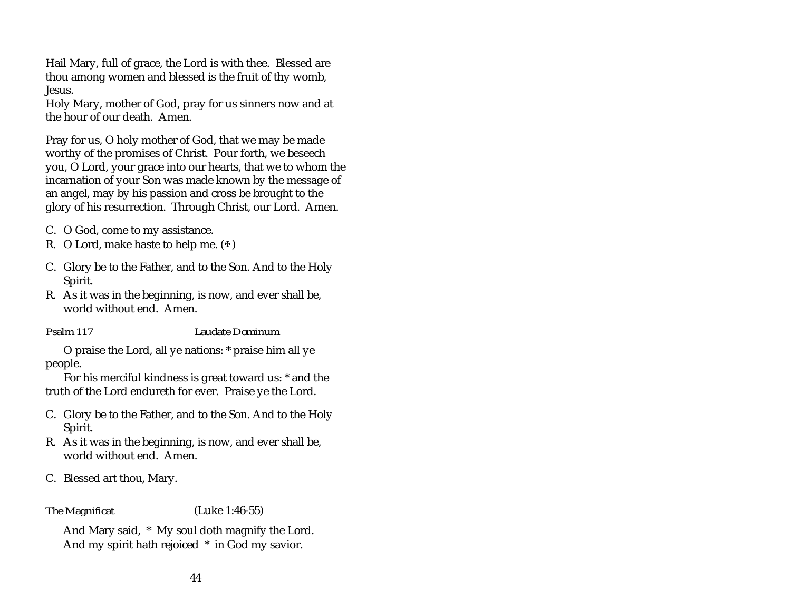Hail Mary, full of grace, the Lord is with thee. Blessed are thou among women and blessed is the fruit of thy womb, Jesus.

Holy Mary, mother of God, pray for us sinners now and at the hour of our death. Amen.

Pray for us, O holy mother of God, that we may be made worthy of the promises of Christ. Pour forth, we beseech you, O Lord, your grace into our hearts, that we to whom the incarnation of your Son was made known by the message of an angel, may by his passion and cross be brought to the glory of his resurrection. Through Christ, our Lord. Amen.

- C. O God, come to my assistance.
- R. O Lord, make haste to help me.  $(\mathbb{F})$
- C. Glory be to the Father, and to the Son. And to the Holy Spirit.
- R. As it was in the beginning, is now, and ever shall be, world without end. Amen.

*Psalm 117 Laudate Dominum*

O praise the Lord, all ye nations: \* praise him all ye people.

For his merciful kindness is great toward us: \* and the truth of the Lord endureth for ever. Praise ye the Lord.

- C. Glory be to the Father, and to the Son. And to the Holy Spirit.
- R. As it was in the beginning, is now, and ever shall be, world without end. Amen.
- C. Blessed art thou, Mary.

*The Magnificat* (Luke 1:46-55)

And Mary said, \* My soul doth magnify the Lord. And my spirit hath rejoiced \* in God my savior.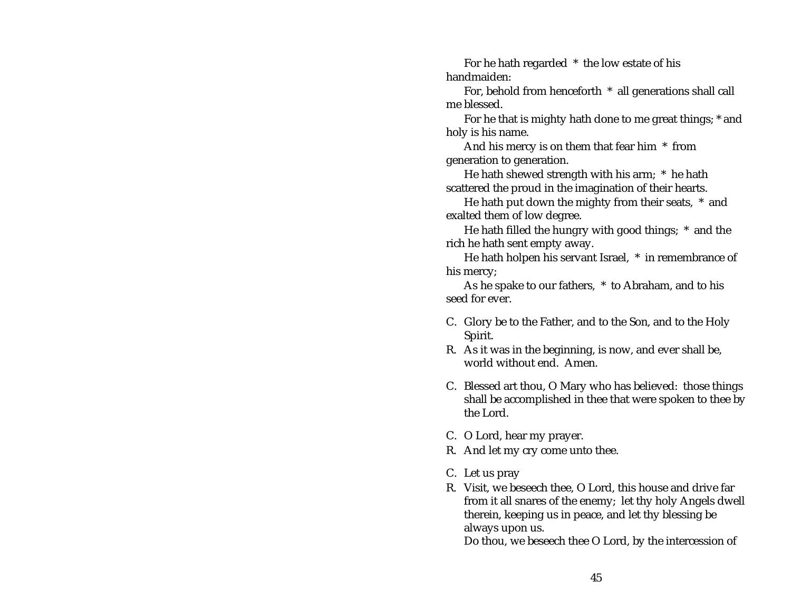For he hath regarded \* the low estate of his handmaiden:

For, behold from henceforth \* all generations shall call me blessed.

For he that is mighty hath done to me great things; \* and holy is his name.

And his mercy is on them that fear him \* from generation to generation.

He hath shewed strength with his arm; \* he hath scattered the proud in the imagination of their hearts.

He hath put down the mighty from their seats, \* and exalted them of low degree.

He hath filled the hungry with good things; \* and the rich he hath sent empty away.

He hath holpen his servant Israel, \* in remembrance of his mercy;

As he spake to our fathers, \* to Abraham, and to his seed for ever.

- C. Glory be to the Father, and to the Son, and to the Holy Spirit.
- R. As it was in the beginning, is now, and ever shall be, world without end. Amen.
- C. Blessed art thou, O Mary who has believed: those things shall be accomplished in thee that were spoken to thee by the Lord.
- C. O Lord, hear my prayer.
- R. And let my cry come unto thee.
- C. Let us pray
- R. Visit, we beseech thee, O Lord, this house and drive far from it all snares of the enemy; let thy holy Angels dwell therein, keeping us in peace, and let thy blessing be always upon us.

Do thou, we beseech thee O Lord, by the intercession of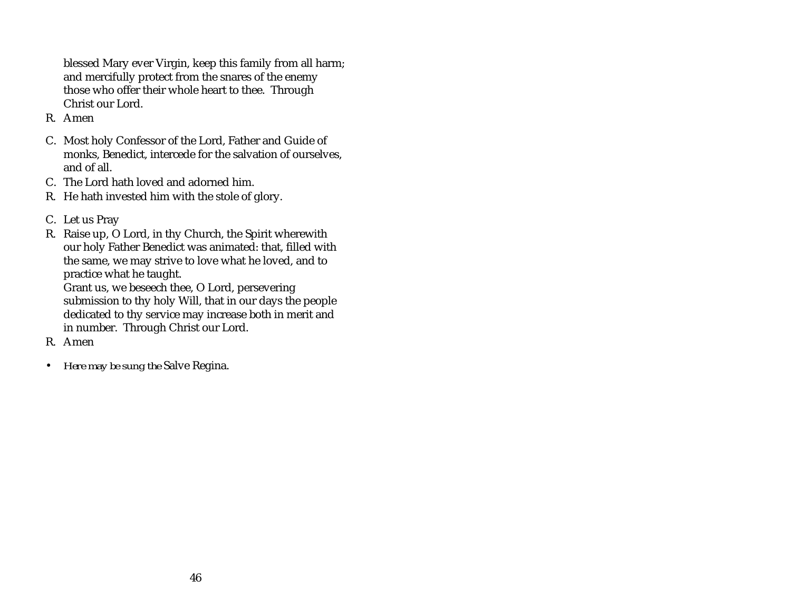blessed Mary ever Virgin, keep this family from all harm; and mercifully protect from the snares of the enemy those who offer their whole heart to thee. Through Christ our Lord.

- R. Amen
- C. Most holy Confessor of the Lord, Father and Guide of monks, Benedict, intercede for the salvation of ourselves, and of all.
- C. The Lord hath loved and adorned him.
- R. He hath invested him with the stole of glory.
- C. Let us Pray
- R. Raise up, O Lord, in thy Church, the Spirit wherewith our holy Father Benedict was animated: that, filled with the same, we may strive to love what he loved, and to practice what he taught.

Grant us, we beseech thee, O Lord, persevering submission to thy holy Will, that in our days the people dedicated to thy service may increase both in merit and in number. Through Christ our Lord.

- R. Amen
- $\bullet$ *Here may be sung the* Salve Regina.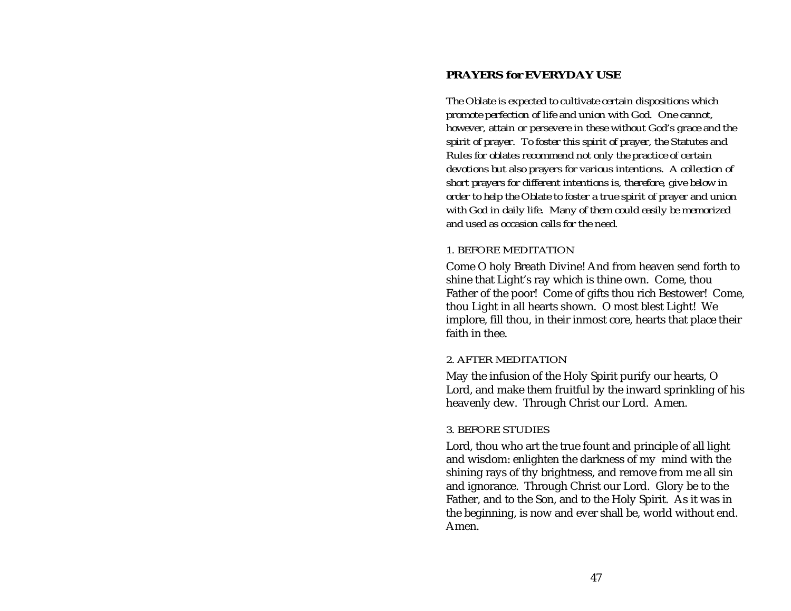# <span id="page-51-0"></span>**PRAYERS for EVERYDAY USE**

*The Oblate is expected to cultivate certain dispositions which promote perfection of life and union with God. One cannot, however, attain or persevere in these without God's grace and the spirit of prayer. To foster this spirit of prayer, the Statutes and Rules for oblates recommend not only the practice of certain devotions but also prayers for various intentions. A collection of short prayers for different intentions is, therefore, give below in order to help the Oblate to foster a true spirit of prayer and union with God in daily life. Many of them could easily be memorized and used as occasion calls for the need.*

#### *1. BEFORE MEDITATION*

Come O holy Breath Divine! And from heaven send forth to shine that Light's ray which is thine own. Come, thou Father of the poor! Come of gifts thou rich Bestower! Come, thou Light in all hearts shown. O most blest Light! We implore, fill thou, in their inmost core, hearts that place their faith in thee.

#### *2. AFTER MEDITATION*

May the infusion of the Holy Spirit purify our hearts, O Lord, and make them fruitful by the inward sprinkling of his heavenly dew. Through Christ our Lord. Amen.

### *3. BEFORE STUDIES*

Lord, thou who art the true fount and principle of all light and wisdom: enlighten the darkness of my mind with the shining rays of thy brightness, and remove from me all sin and ignorance. Through Christ our Lord. Glory be to the Father, and to the Son, and to the Holy Spirit. As it was in the beginning, is now and ever shall be, world without end. Amen.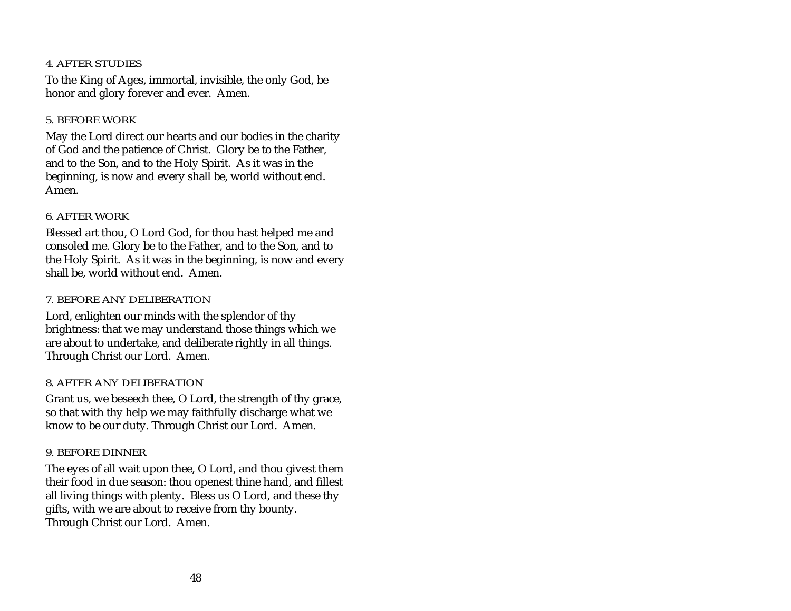## *4. AFTER STUDIES*

To the King of Ages, immortal, invisible, the only God, be honor and glory forever and ever. Amen.

# *5. BEFORE WORK*

May the Lord direct our hearts and our bodies in the charity of God and the patience of Christ. Glory be to the Father, and to the Son, and to the Holy Spirit. As it was in the beginning, is now and every shall be, world without end. Amen.

# *6. AFTER WORK*

Blessed art thou, O Lord God, for thou hast helped me and consoled me. Glory be to the Father, and to the Son, and to the Holy Spirit. As it was in the beginning, is now and every shall be, world without end. Amen.

# *7. BEFORE ANY DELIBERATION*

Lord, enlighten our minds with the splendor of thy brightness: that we may understand those things which we are about to undertake, and deliberate rightly in all things. Through Christ our Lord. Amen.

# *8. AFTER ANY DELIBERATION*

Grant us, we beseech thee, O Lord, the strength of thy grace, so that with thy help we may faithfully discharge what we know to be our duty. Through Christ our Lord. Amen.

# *9. BEFORE DINNER*

The eyes of all wait upon thee, O Lord, and thou givest them their food in due season: thou openest thine hand, and fillest all living things with plenty. Bless us O Lord, and these thy gifts, with we are about to receive from thy bounty. Through Christ our Lord. Amen.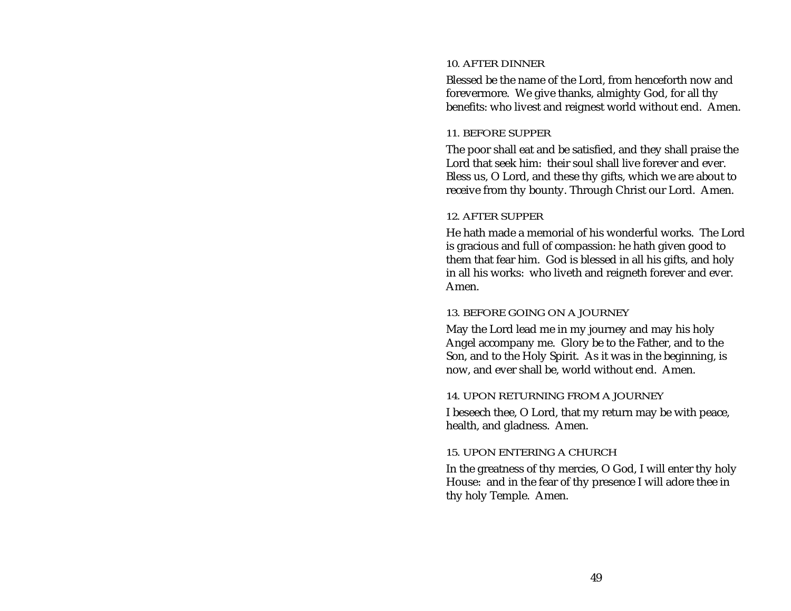#### *10. AFTER DINNER*

Blessed be the name of the Lord, from henceforth now and forevermore. We give thanks, almighty God, for all thy benefits: who livest and reignest world without end. Amen.

#### *11. BEFORE SUPPER*

The poor shall eat and be satisfied, and they shall praise the Lord that seek him: their soul shall live forever and ever.Bless us, O Lord, and these thy gifts, which we are about to receive from thy bounty. Through Christ our Lord. Amen.

#### *12. AFTER SUPPER*

He hath made a memorial of his wonderful works. The Lordis gracious and full of compassion: he hath given good to them that fear him. God is blessed in all his gifts, and holy in all his works: who liveth and reigneth forever and ever. Amen.

#### *13. BEFORE GOING ON A JOURNEY*

May the Lord lead me in my journey and may his holy Angel accompany me. Glory be to the Father, and to the Son, and to the Holy Spirit. As it was in the beginning, is now, and ever shall be, world without end. Amen.

### *14. UPON RETURNING FROM A JOURNEY*

I beseech thee, O Lord, that my return may be with peace, health, and gladness. Amen.

### *15. UPON ENTERING A CHURCH*

In the greatness of thy mercies, O God, I will enter thy holy House: and in the fear of thy presence I will adore thee in thy holy Temple. Amen.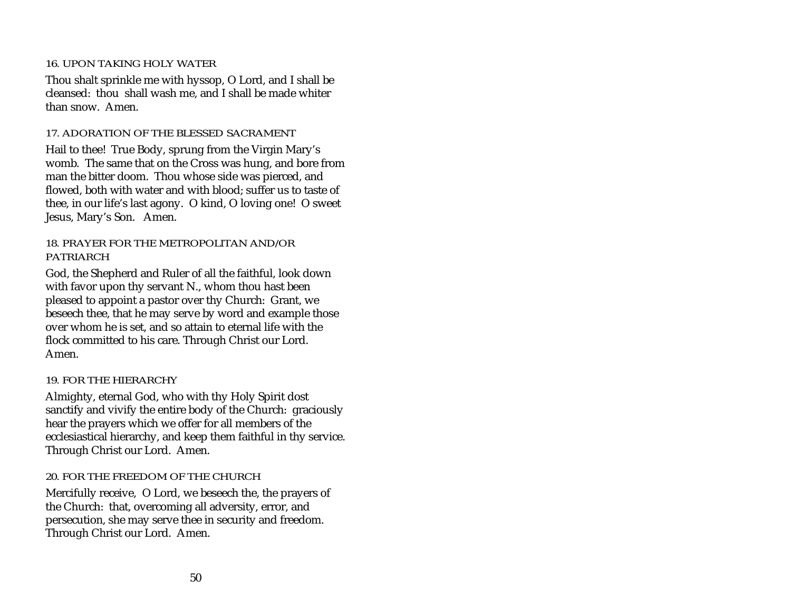### *16. UPON TAKING HOLY WATER*

Thou shalt sprinkle me with hyssop, O Lord, and I shall be cleansed: thou shall wash me, and I shall be made whiter than snow. Amen.

#### *17. ADORATION OF THE BLESSED SACRAMENT*

Hail to thee! True Body, sprung from the Virgin Mary's womb. The same that on the Cross was hung, and bore from man the bitter doom. Thou whose side was pierced, and flowed, both with water and with blood; suffer us to taste of thee, in our life's last agony. O kind, O loving one! O sweet Jesus, Mary's Son. Amen.

#### *18. PRAYER FOR THE METROPOLITAN AND/ORPATRIARCH*

God, the Shepherd and Ruler of all the faithful, look down with favor upon thy servant N., whom thou hast been pleased to appoint a pastor over thy Church: Grant, we beseech thee, that he may serve by word and example those over whom he is set, and so attain to eternal life with the flock committed to his care. Through Christ our Lord. Amen.

#### *19. FOR THE HIERARCHY*

Almighty, eternal God, who with thy Holy Spirit dost sanctify and vivify the entire body of the Church: graciously hear the prayers which we offer for all members of the ecclesiastical hierarchy, and keep them faithful in thy service. Through Christ our Lord. Amen.

#### *20. FOR THE FREEDOM OF THE CHURCH*

Mercifully receive, O Lord, we beseech the, the prayers of the Church: that, overcoming all adversity, error, and persecution, she may serve thee in security and freedom. Through Christ our Lord. Amen.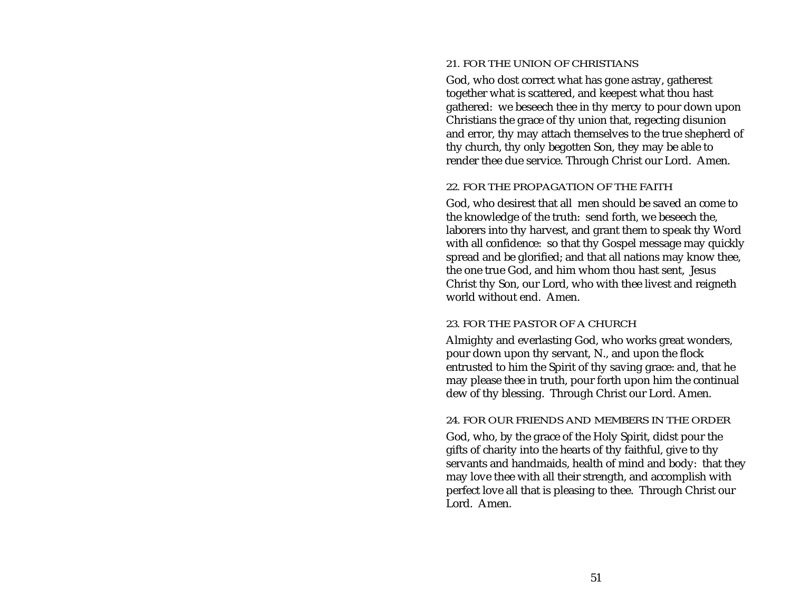#### *21. FOR THE UNION OF CHRISTIANS*

God, who dost correct what has gone astray, gatherest together what is scattered, and keepest what thou hast gathered: we beseech thee in thy mercy to pour down upon Christians the grace of thy union that, regecting disunion and error, thy may attach themselves to the true shepherd of thy church, thy only begotten Son, they may be able to render thee due service. Through Christ our Lord. Amen.

#### *22. FOR THE PROPAGATION OF THE FAITH*

God, who desirest that all men should be saved an come to the knowledge of the truth: send forth, we beseech the, laborers into thy harvest, and grant them to speak thy Word with all confidence: so that thy Gospel message may quickly spread and be glorified; and that all nations may know thee, the one true God, and him whom thou hast sent, Jesus Christ thy Son, our Lord, who with thee livest and reigneth world without end. Amen.

#### *23. FOR THE PASTOR OF A CHURCH*

Almighty and everlasting God, who works great wonders, pour down upon thy servant, N., and upon the flock entrusted to him the Spirit of thy saving grace: and, that he may please thee in truth, pour forth upon him the continual dew of thy blessing. Through Christ our Lord. Amen.

#### *24. FOR OUR FRIENDS AND MEMBERS IN THE ORDER*

God, who, by the grace of the Holy Spirit, didst pour the gifts of charity into the hearts of thy faithful, give to thy servants and handmaids, health of mind and body: that they may love thee with all their strength, and accomplish with perfect love all that is pleasing to thee. Through Christ our Lord. Amen.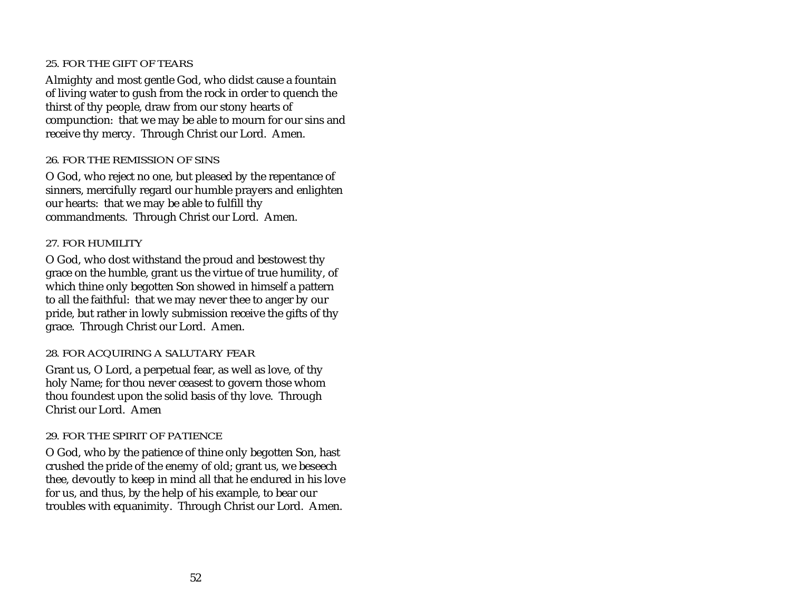#### *25. FOR THE GIFT OF TEARS*

Almighty and most gentle God, who didst cause a fountain of living water to gush from the rock in order to quench the thirst of thy people, draw from our stony hearts of compunction: that we may be able to mourn for our sins and receive thy mercy. Through Christ our Lord. Amen.

#### *26. FOR THE REMISSION OF SINS*

O God, who reject no one, but pleased by the repentance of sinners, mercifully regard our humble prayers and enlighten our hearts: that we may be able to fulfill thy commandments. Through Christ our Lord. Amen.

# *27. FOR HUMILITY*

O God, who dost withstand the proud and bestowest thy grace on the humble, grant us the virtue of true humility, of which thine only begotten Son showed in himself a pattern to all the faithful: that we may never thee to anger by our pride, but rather in lowly submission receive the gifts of thy grace. Through Christ our Lord. Amen.

### *28. FOR ACQUIRING A SALUTARY FEAR*

Grant us, O Lord, a perpetual fear, as well as love, of thy holy Name; for thou never ceasest to govern those whom thou foundest upon the solid basis of thy love. Through Christ our Lord. Amen

### *29. FOR THE SPIRIT OF PATIENCE*

O God, who by the patience of thine only begotten Son, hast crushed the pride of the enemy of old; grant us, we beseech thee, devoutly to keep in mind all that he endured in his love for us, and thus, by the help of his example, to bear our troubles with equanimity. Through Christ our Lord. Amen.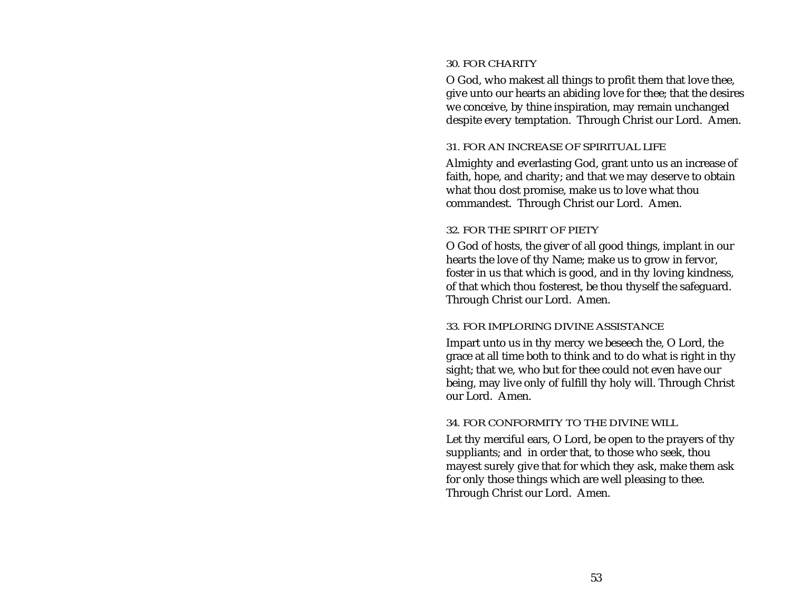#### *30. FOR CHARITY*

O God, who makest all things to profit them that love thee, give unto our hearts an abiding love for thee; that the desires we conceive, by thine inspiration, may remain unchanged despite every temptation. Through Christ our Lord. Amen.

#### *31. FOR AN INCREASE OF SPIRITUAL LIFE*

Almighty and everlasting God, grant unto us an increase of faith, hope, and charity; and that we may deserve to obtain what thou dost promise, make us to love what thou commandest. Through Christ our Lord. Amen.

### *32. FOR THE SPIRIT OF PIETY*

O God of hosts, the giver of all good things, implant in our hearts the love of thy Name; make us to grow in fervor, foster in us that which is good, and in thy loving kindness, of that which thou fosterest, be thou thyself the safeguard. Through Christ our Lord. Amen.

### *33. FOR IMPLORING DIVINE ASSISTANCE*

Impart unto us in thy mercy we beseech the, O Lord, the grace at all time both to think and to do what is right in thy sight; that we, who but for thee could not even have our being, may live only of fulfill thy holy will. Through Christ our Lord. Amen.

### *34. FOR CONFORMITY TO THE DIVINE WILL*

Let thy merciful ears, O Lord, be open to the prayers of thy suppliants; and in order that, to those who seek, thou mayest surely give that for which they ask, make them ask for only those things which are well pleasing to thee. Through Christ our Lord. Amen.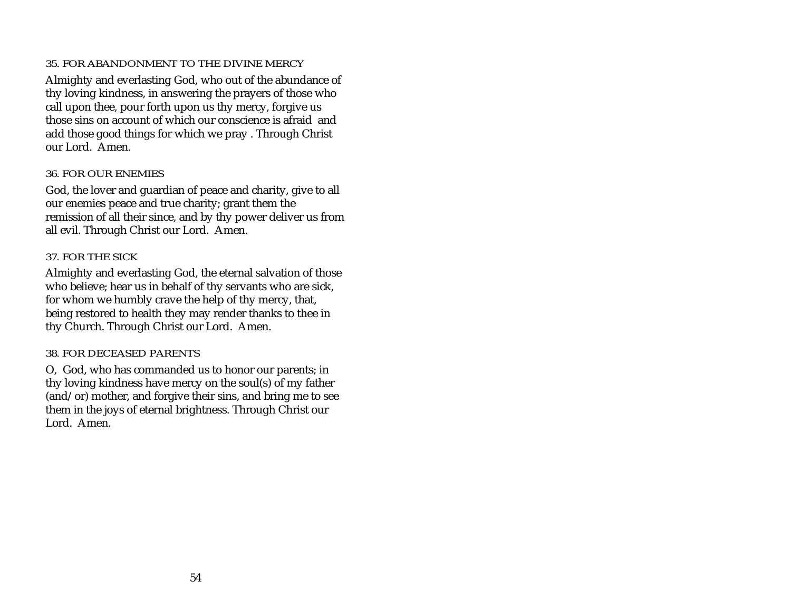## *35. FOR ABANDONMENT TO THE DIVINE MERCY*

Almighty and everlasting God, who out of the abundance of thy loving kindness, in answering the prayers of those who call upon thee, pour forth upon us thy mercy, forgive us those sins on account of which our conscience is afraid andadd those good things for which we pray . Through Christ our Lord. Amen.

#### *36. FOR OUR ENEMIES*

God, the lover and guardian of peace and charity, give to all our enemies peace and true charity; grant them the remission of all their since, and by thy power deliver us from all evil. Through Christ our Lord. Amen.

# *37. FOR THE SICK*

Almighty and everlasting God, the eternal salvation of those who believe; hear us in behalf of thy servants who are sick, for whom we humbly crave the help of thy mercy, that, being restored to health they may render thanks to thee in thy Church. Through Christ our Lord. Amen.

### *38. FOR DECEASED PARENTS*

O, God, who has commanded us to honor our parents; in thy loving kindness have mercy on the soul(s) of my father (and/or) mother, and forgive their sins, and bring me to see them in the joys of eternal brightness. Through Christ our Lord. Amen.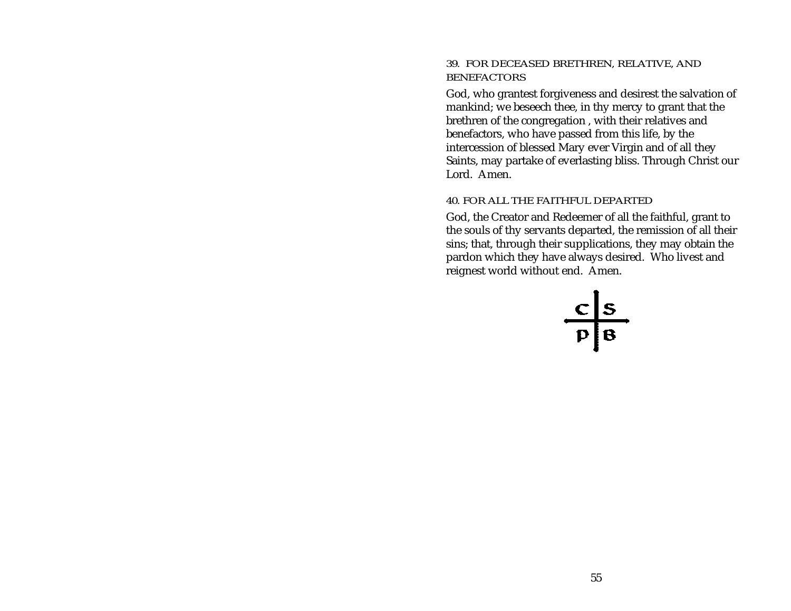#### *39. FOR DECEASED BRETHREN, RELATIVE, AND BENEFACTORS*

God, who grantest forgiveness and desirest the salvation of mankind; we beseech thee, in thy mercy to grant that the brethren of the congregation , with their relatives and benefactors, who have passed from this life, by the intercession of blessed Mary ever Virgin and of all they Saints, may partake of everlasting bliss. Through Christ our Lord. Amen.

#### *40. FOR ALL THE FAITHFUL DEPARTED*

God, the Creator and Redeemer of all the faithful, grant to the souls of thy servants departed, the remission of all their sins; that, through their supplications, they may obtain the pardon which they have always desired. Who livest and reignest world without end. Amen.

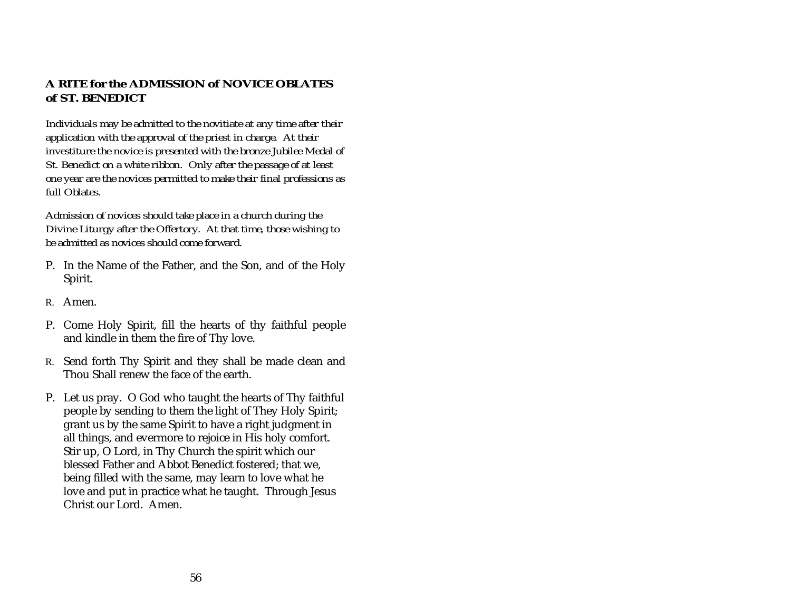# <span id="page-60-0"></span>**A RITE for the ADMISSION of NOVICE OBLATESof ST. BENEDICT**

*Individuals may be admitted to the novitiate at any time after their application with the approval of the priest in charge. At their investiture the novice is presented with the bronze Jubilee Medal of St. Benedict on a white ribbon. Only after the passage of at least one year are the novices permitted to make their final professions as full Oblates.*

*Admission of novices should take place in a church during the Divine Liturgy after the Offertory. At that time, those wishing to be admitted as novices should come forward.*

- P. In the Name of the Father, and the Son, and of the Holy Spirit.
- R. Amen.
- P. Come Holy Spirit, fill the hearts of thy faithful people and kindle in them the fire of Thy love.
- R. Send forth Thy Spirit and they shall be made clean and Thou Shall renew the face of the earth.
- P. Let us pray. O God who taught the hearts of Thy faithful people by sending to them the light of They Holy Spirit; grant us by the same Spirit to have a right judgment in all things, and evermore to rejoice in His holy comfort. Stir up, O Lord, in Thy Church the spirit which our blessed Father and Abbot Benedict fostered; that we, being filled with the same, may learn to love what he love and put in practice what he taught. Through Jesus Christ our Lord. Amen.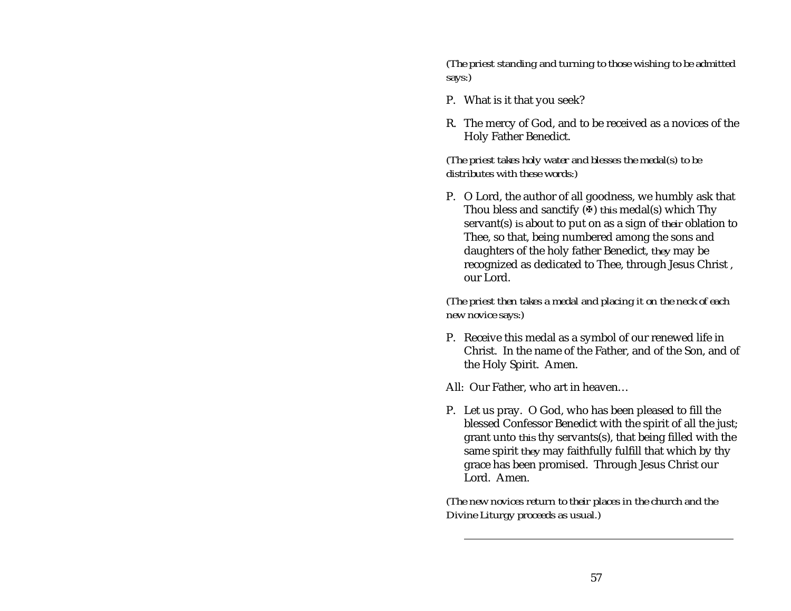*(The priest standing and turning to those wishing to be admitted says:)*

- P. What is it that you seek?
- R. The mercy of God, and to be received as a novices of the Holy Father Benedict.

*(The priest takes holy water and blesses the medal(s) to be distributes with these words:)*

P. O Lord, the author of all goodness, we humbly ask that Thou bless and sanctify (X) *this* medal(s) which Thy servant(s) *is* about to put on as a sign of *their* oblation to Thee, so that, being numbered among the sons and daughters of the holy father Benedict, *they* may be recognized as dedicated to Thee, through Jesus Christ , our Lord.

*(The priest then takes a medal and placing it on the neck of each new novice says:)*

P. Receive this medal as a symbol of our renewed life in Christ. In the name of the Father, and of the Son, and of the Holy Spirit. Amen.

All: Our Father, who art in heaven…

P. Let us pray. O God, who has been pleased to fill the blessed Confessor Benedict with the spirit of all the just; grant unto *this* thy servants(s), that being filled with the same spirit *they* may faithfully fulfill that which by thy grace has been promised. Through Jesus Christ our Lord. Amen.

*(The new novices return to their places in the church and the Divine Liturgy proceeds as usual.)*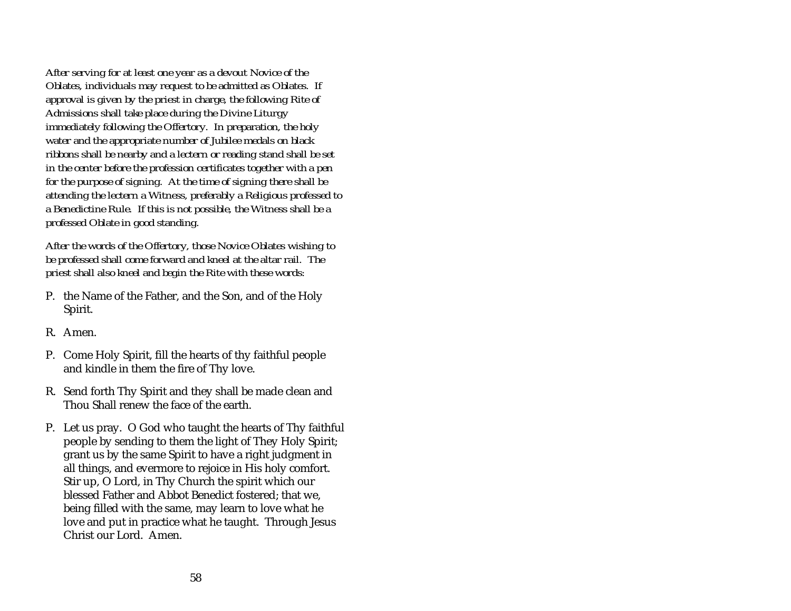*After serving for at least one year as a devout Novice of the Oblates, individuals may request to be admitted as Oblates. If approval is given by the priest in charge, the following Rite of Admissions shall take place during the Divine Liturgy immediately following the Offertory. In preparation, the holy water and the appropriate number of Jubilee medals on black ribbons shall be nearby and a lectern or reading stand shall be set in the center before the profession certificates together with a pen for the purpose of signing. At the time of signing there shall be attending the lectern a Witness, preferably a Religious professed to a Benedictine Rule. If this is not possible, the Witness shall be a professed Oblate in good standing.*

*After the words of the Offertory, those Novice Oblates wishing to be professed shall come forward and kneel at the altar rail. The priest shall also kneel and begin the Rite with these words:*

- P. the Name of the Father, and the Son, and of the Holy Spirit.
- R. Amen.
- P. Come Holy Spirit, fill the hearts of thy faithful people and kindle in them the fire of Thy love.
- R. Send forth Thy Spirit and they shall be made clean and Thou Shall renew the face of the earth.
- P. Let us pray. O God who taught the hearts of Thy faithful people by sending to them the light of They Holy Spirit; grant us by the same Spirit to have a right judgment in all things, and evermore to rejoice in His holy comfort. Stir up, O Lord, in Thy Church the spirit which our blessed Father and Abbot Benedict fostered; that we, being filled with the same, may learn to love what he love and put in practice what he taught. Through Jesus Christ our Lord. Amen.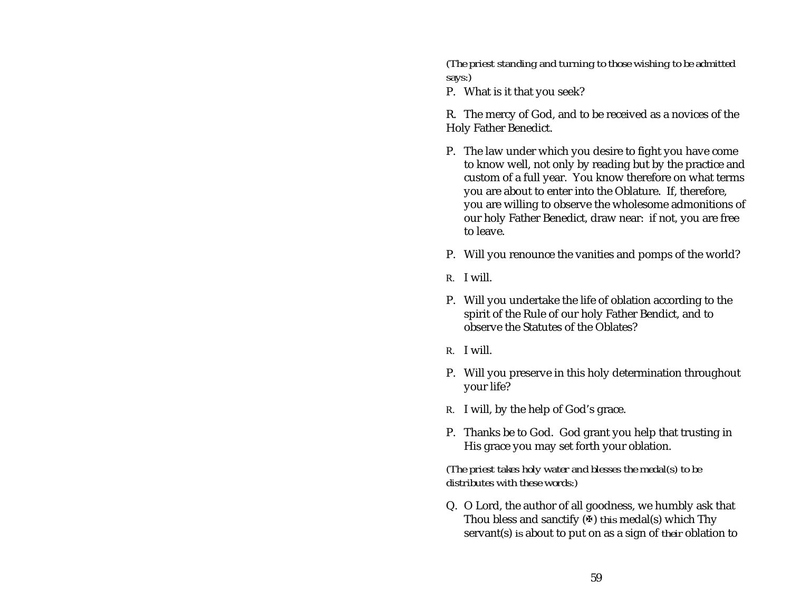*(The priest standing and turning to those wishing to be admitted says:)*

P. What is it that you seek?

R. The mercy of God, and to be received as a novices of the Holy Father Benedict.

- P. The law under which you desire to fight you have come to know well, not only by reading but by the practice and custom of a full year. You know therefore on what terms you are about to enter into the Oblature. If, therefore, you are willing to observe the wholesome admonitions of our holy Father Benedict, draw near: if not, you are free to leave.
- P. Will you renounce the vanities and pomps of the world?
- R. I will.
- P. Will you undertake the life of oblation according to the spirit of the Rule of our holy Father Bendict, and to observe the Statutes of the Oblates?
- R. I will.
- P. Will you preserve in this holy determination throughout your life?
- R. I will, by the help of God's grace.
- P. Thanks be to God. God grant you help that trusting in His grace you may set forth your oblation.

*(The priest takes holy water and blesses the medal(s) to be distributes with these words:)*

Q. O Lord, the author of all goodness, we humbly ask that Thou bless and sanctify  $(\Phi)$  *this* medal(s) which Thy servant(s) *is* about to put on as a sign of *their* oblation to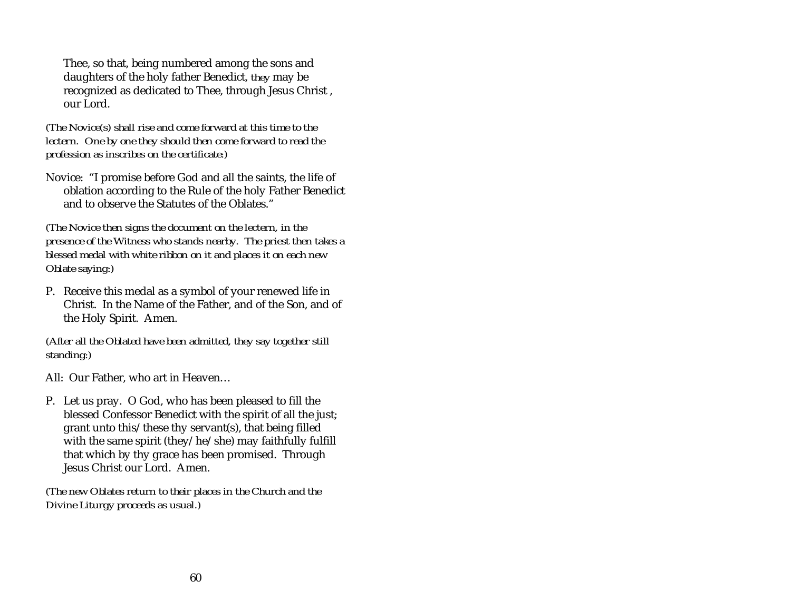Thee, so that, being numbered among the sons and daughters of the holy father Benedict, *they* may be recognized as dedicated to Thee, through Jesus Christ , our Lord.

*(The Novice(s) shall rise and come forward at this time to the lectern. One by one they should then come forward to read the profession as inscribes on the certificate:)*

Novice: "I promise before God and all the saints, the life of oblation according to the Rule of the holy Father Benedict and to observe the Statutes of the Oblates."

*(The Novice then signs the document on the lectern, in the presence of the Witness who stands nearby. The priest then takes a blessed medal with white ribbon on it and places it on each new Oblate saying:)*

P. Receive this medal as a symbol of your renewed life in Christ. In the Name of the Father, and of the Son, and of the Holy Spirit. Amen.

*(After all the Oblated have been admitted, they say together still standing:)*

All: Our Father, who art in Heaven…

P. Let us pray. O God, who has been pleased to fill the blessed Confessor Benedict with the spirit of all the just; grant unto this/these thy servant(s), that being filled with the same spirit (they/he/she) may faithfully fulfill that which by thy grace has been promised. Through Jesus Christ our Lord. Amen.

*(The new Oblates return to their places in the Church and the Divine Liturgy proceeds as usual.)*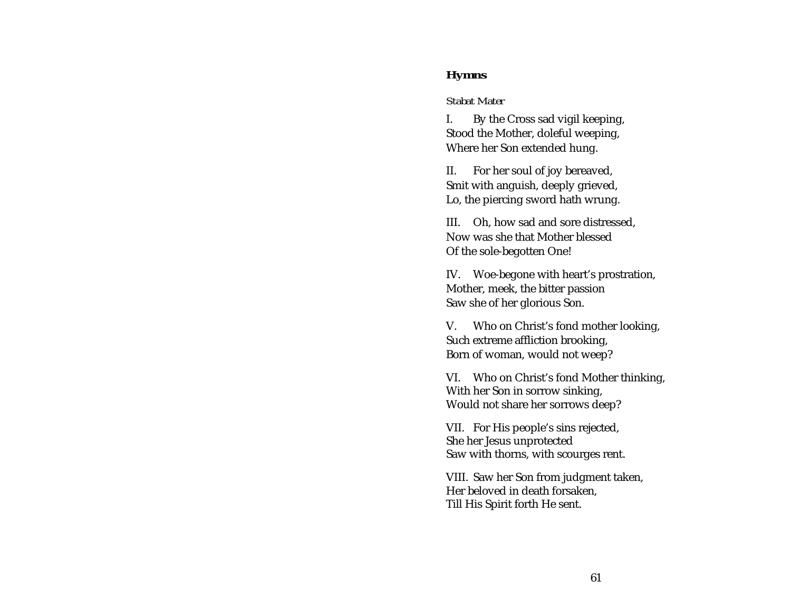### <span id="page-65-0"></span>**Hymns**

#### *Stabat Mater*

I. By the Cross sad vigil keeping, Stood the Mother, doleful weeping, Where her Son extended hung.

II. For her soul of joy bereaved, Smit with anguish, deeply grieved, Lo, the piercing sword hath wrung.

III. Oh, how sad and sore distressed, Now was she that Mother blessedOf the sole-begotten One!

IV. Woe-begone with heart's prostration, Mother, meek, the bitter passion Saw she of her glorious Son.

V. Who on Christ's fond mother looking, Such extreme affliction brooking, Born of woman, would not weep?

VI. Who on Christ's fond Mother thinking, With her Son in sorrow sinking, Would not share her sorrows deep?

VII. For His people's sins rejected, She her Jesus unprotected Saw with thorns, with scourges rent.

VIII. Saw her Son from judgment taken, Her beloved in death forsaken, Till His Spirit forth He sent.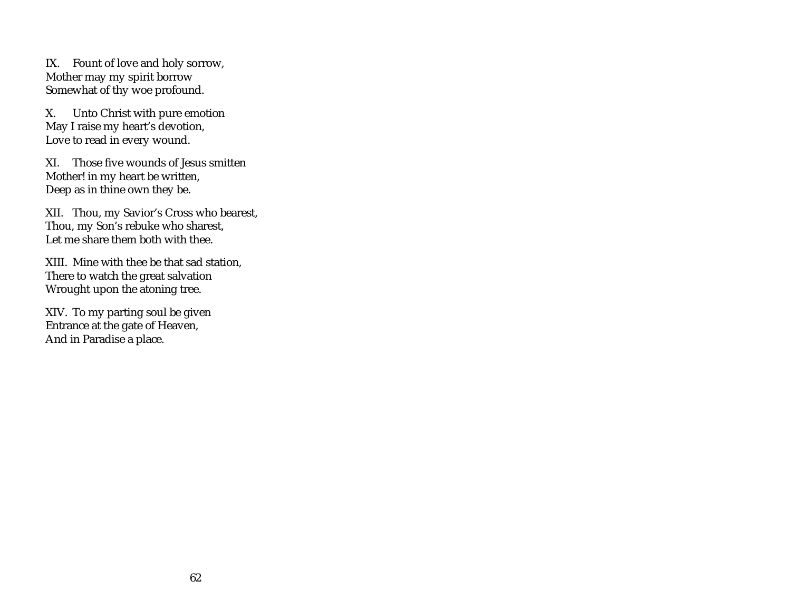IX. Fount of love and holy sorrow, Mother may my spirit borrow Somewhat of thy woe profound.

X. Unto Christ with pure emotion May I raise my heart's devotion, Love to read in every wound.

XI. Those five wounds of Jesus smittenMother! in my heart be written, Deep as in thine own they be.

XII. Thou, my Savior's Cross who bearest, Thou, my Son's rebuke who sharest, Let me share them both with thee.

XIII. Mine with thee be that sad station, There to watch the great salvation Wrought upon the atoning tree.

XIV. To my parting soul be given Entrance at the gate of Heaven, And in Paradise a place.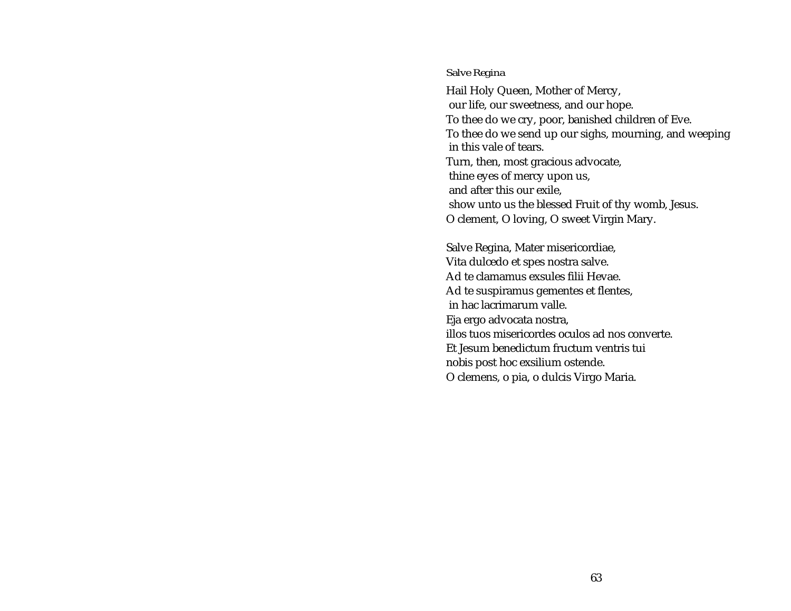#### <span id="page-67-0"></span>*Salve Regina*

Hail Holy Queen, Mother of Mercy, our life, our sweetness, and our hope. To thee do we cry, poor, banished children of Eve. To thee do we send up our sighs, mourning, and weeping in this vale of tears.Turn, then, most gracious advocate, thine eyes of mercy upon us, and after this our exile, show unto us the blessed Fruit of thy womb, Jesus. O clement, O loving, O sweet Virgin Mary.

Salve Regina, Mater misericordiae, Vita dulcedo et spes nostra salve. Ad te clamamus exsules filii Hevae. Ad te suspiramus gementes et flentes, in hac lacrimarum valle.Eja ergo advocata nostra, illos tuos misericordes oculos ad nos converte.Et Jesum benedictum fructum ventris tuinobis post hoc exsilium ostende. O clemens, o pia, o dulcis Virgo Maria.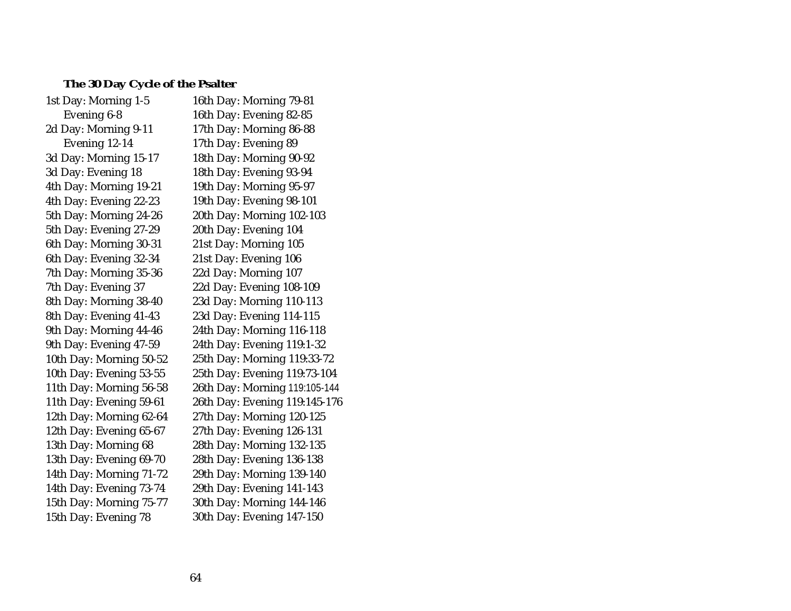# <span id="page-68-0"></span>**The 30 Day Cycle of the Psalter**

| 1st Day: Morning 1-5    | 16th Day: Morning 79-81       |
|-------------------------|-------------------------------|
| Evening 6-8             | 16th Day: Evening 82-85       |
| 2d Day: Morning 9-11    | 17th Day: Morning 86-88       |
| Evening 12-14           | 17th Day: Evening 89          |
| 3d Day: Morning 15-17   | 18th Day: Morning 90-92       |
| 3d Day: Evening 18      | 18th Day: Evening 93-94       |
| 4th Day: Morning 19-21  | 19th Day: Morning 95-97       |
| 4th Day: Evening 22-23  | 19th Day: Evening 98-101      |
| 5th Day: Morning 24-26  | 20th Day: Morning 102-103     |
| 5th Day: Evening 27-29  | 20th Day: Evening 104         |
| 6th Day: Morning 30-31  | 21st Day: Morning 105         |
| 6th Day: Evening 32-34  | 21st Day: Evening 106         |
| 7th Day: Morning 35-36  | 22d Day: Morning 107          |
| 7th Day: Evening 37     | 22d Day: Evening 108-109      |
| 8th Day: Morning 38-40  | 23d Day: Morning 110-113      |
| 8th Day: Evening 41-43  | 23d Day: Evening 114-115      |
| 9th Day: Morning 44-46  | 24th Day: Morning 116-118     |
| 9th Day: Evening 47-59  | 24th Day: Evening 119:1-32    |
| 10th Day: Morning 50-52 | 25th Day: Morning 119:33-72   |
| 10th Day: Evening 53-55 | 25th Day: Evening 119:73-104  |
| 11th Day: Morning 56-58 | 26th Day: Morning 119:105-144 |
| 11th Day: Evening 59-61 | 26th Day: Evening 119:145-176 |
| 12th Day: Morning 62-64 | 27th Day: Morning 120-125     |
| 12th Day: Evening 65-67 | 27th Day: Evening 126-131     |
| 13th Day: Morning 68    | 28th Day: Morning 132-135     |
| 13th Day: Evening 69-70 | 28th Day: Evening 136-138     |
| 14th Day: Morning 71-72 | 29th Day: Morning 139-140     |
| 14th Day: Evening 73-74 | 29th Day: Evening 141-143     |
| 15th Day: Morning 75-77 | 30th Day: Morning 144-146     |
| 15th Day: Evening 78    | 30th Day: Evening 147-150     |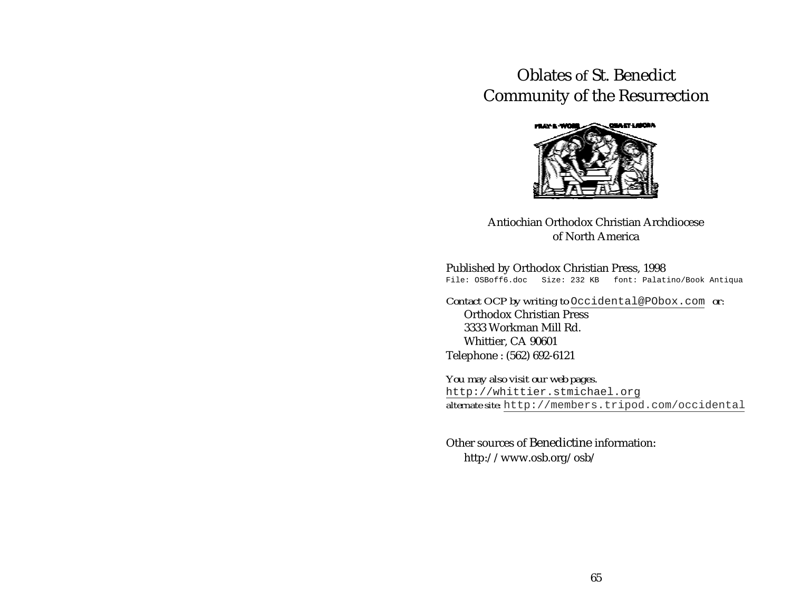# Oblates of St. BenedictCommunity of the Resurrection



Antiochian Orthodox Christian Archdioceseof North America

#### Published by Orthodox Christian Press, 1998

File: OSBoff6.doc Size: 232 KB font: Palatino/Book Antiqua

*Contact OCP by writing to* [Occidental@PObox.com](mailto:Occidental@PObox.com) *or:* Orthodox Christian Press3333 Workman Mill Rd.Whittier, CA 90601 Telephone : (562) 692-6121

*You may also visit our web pages.* [http://whittier.stmichael.org](http://whittier.stmichael.org/) *alternate site:* [http://members.tripod.com/occidental](http://members.tripod.com/~occidental)

Other sources of Benedictine information:http://www.osb.org/osb/